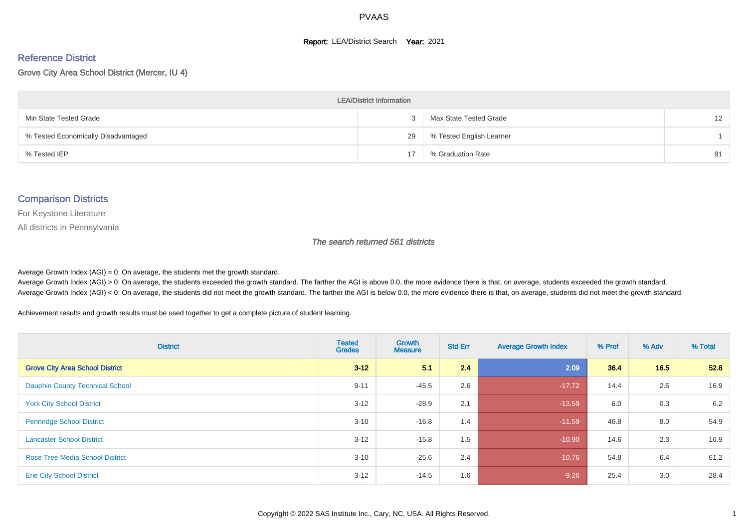#### **Report: LEA/District Search Year: 2021**

#### Reference District

Grove City Area School District (Mercer, IU 4)

| <b>LEA/District Information</b>     |    |                          |                   |  |  |  |  |  |  |  |
|-------------------------------------|----|--------------------------|-------------------|--|--|--|--|--|--|--|
| Min State Tested Grade              |    | Max State Tested Grade   | $12 \overline{ }$ |  |  |  |  |  |  |  |
| % Tested Economically Disadvantaged | 29 | % Tested English Learner |                   |  |  |  |  |  |  |  |
| % Tested IEP                        | 17 | % Graduation Rate        | 91                |  |  |  |  |  |  |  |

#### Comparison Districts

For Keystone Literature

All districts in Pennsylvania

The search returned 561 districts

Average Growth Index  $(AGI) = 0$ : On average, the students met the growth standard.

Average Growth Index (AGI) > 0: On average, the students exceeded the growth standard. The farther the AGI is above 0.0, the more evidence there is that, on average, students exceeded the growth standard. Average Growth Index (AGI) < 0: On average, the students did not meet the growth standard. The farther the AGI is below 0.0, the more evidence there is that, on average, students did not meet the growth standard.

Achievement results and growth results must be used together to get a complete picture of student learning.

| <b>District</b>                        | <b>Tested</b><br><b>Grades</b> | Growth<br><b>Measure</b> | <b>Std Err</b> | <b>Average Growth Index</b> | % Prof | % Adv | % Total |
|----------------------------------------|--------------------------------|--------------------------|----------------|-----------------------------|--------|-------|---------|
| <b>Grove City Area School District</b> | $3 - 12$                       | 5.1                      | 2.4            | 2.09                        | 36.4   | 16.5  | 52.8    |
| <b>Dauphin County Technical School</b> | $9 - 11$                       | $-45.5$                  | 2.6            | $-17.72$                    | 14.4   | 2.5   | 16.9    |
| <b>York City School District</b>       | $3 - 12$                       | $-28.9$                  | 2.1            | $-13.59$                    | 6.0    | 0.3   | 6.2     |
| <b>Pennridge School District</b>       | $3 - 10$                       | $-16.8$                  | 1.4            | $-11.59$                    | 46.8   | 8.0   | 54.9    |
| <b>Lancaster School District</b>       | $3 - 12$                       | $-15.8$                  | 1.5            | $-10.90$                    | 14.6   | 2.3   | 16.9    |
| <b>Rose Tree Media School District</b> | $3 - 10$                       | $-25.6$                  | 2.4            | $-10.76$                    | 54.8   | 6.4   | 61.2    |
| <b>Erie City School District</b>       | $3 - 12$                       | $-14.5$                  | 1.6            | $-9.26$                     | 25.4   | 3.0   | 28.4    |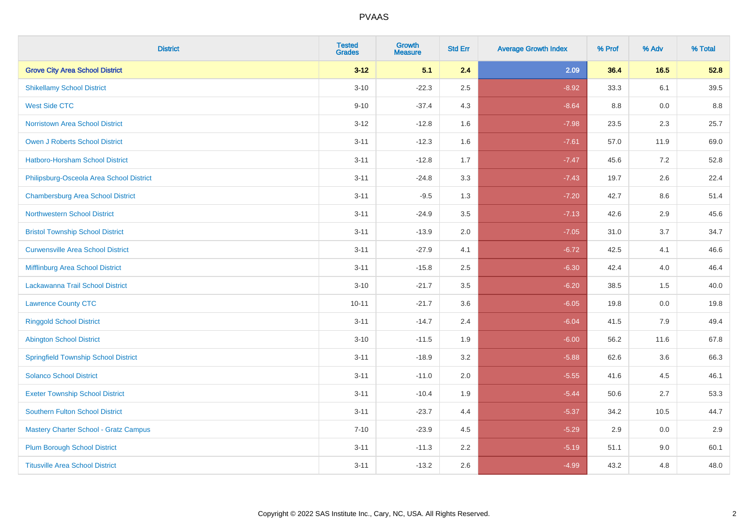| <b>District</b>                              | <b>Tested</b><br><b>Grades</b> | Growth<br><b>Measure</b> | <b>Std Err</b> | <b>Average Growth Index</b> | % Prof | % Adv | % Total |
|----------------------------------------------|--------------------------------|--------------------------|----------------|-----------------------------|--------|-------|---------|
| <b>Grove City Area School District</b>       | $3 - 12$                       | 5.1                      | 2.4            | 2.09                        | 36.4   | 16.5  | 52.8    |
| <b>Shikellamy School District</b>            | $3 - 10$                       | $-22.3$                  | 2.5            | $-8.92$                     | 33.3   | 6.1   | 39.5    |
| <b>West Side CTC</b>                         | $9 - 10$                       | $-37.4$                  | 4.3            | $-8.64$                     | 8.8    | 0.0   | 8.8     |
| Norristown Area School District              | $3 - 12$                       | $-12.8$                  | 1.6            | $-7.98$                     | 23.5   | 2.3   | 25.7    |
| <b>Owen J Roberts School District</b>        | $3 - 11$                       | $-12.3$                  | 1.6            | $-7.61$                     | 57.0   | 11.9  | 69.0    |
| Hatboro-Horsham School District              | $3 - 11$                       | $-12.8$                  | 1.7            | $-7.47$                     | 45.6   | 7.2   | 52.8    |
| Philipsburg-Osceola Area School District     | $3 - 11$                       | $-24.8$                  | 3.3            | $-7.43$                     | 19.7   | 2.6   | 22.4    |
| <b>Chambersburg Area School District</b>     | $3 - 11$                       | $-9.5$                   | 1.3            | $-7.20$                     | 42.7   | 8.6   | 51.4    |
| <b>Northwestern School District</b>          | $3 - 11$                       | $-24.9$                  | 3.5            | $-7.13$                     | 42.6   | 2.9   | 45.6    |
| <b>Bristol Township School District</b>      | $3 - 11$                       | $-13.9$                  | 2.0            | $-7.05$                     | 31.0   | 3.7   | 34.7    |
| <b>Curwensville Area School District</b>     | $3 - 11$                       | $-27.9$                  | 4.1            | $-6.72$                     | 42.5   | 4.1   | 46.6    |
| Mifflinburg Area School District             | $3 - 11$                       | $-15.8$                  | 2.5            | $-6.30$                     | 42.4   | 4.0   | 46.4    |
| Lackawanna Trail School District             | $3 - 10$                       | $-21.7$                  | 3.5            | $-6.20$                     | 38.5   | 1.5   | 40.0    |
| <b>Lawrence County CTC</b>                   | $10 - 11$                      | $-21.7$                  | 3.6            | $-6.05$                     | 19.8   | 0.0   | 19.8    |
| <b>Ringgold School District</b>              | $3 - 11$                       | $-14.7$                  | 2.4            | $-6.04$                     | 41.5   | 7.9   | 49.4    |
| <b>Abington School District</b>              | $3 - 10$                       | $-11.5$                  | 1.9            | $-6.00$                     | 56.2   | 11.6  | 67.8    |
| <b>Springfield Township School District</b>  | $3 - 11$                       | $-18.9$                  | 3.2            | $-5.88$                     | 62.6   | 3.6   | 66.3    |
| <b>Solanco School District</b>               | $3 - 11$                       | $-11.0$                  | 2.0            | $-5.55$                     | 41.6   | 4.5   | 46.1    |
| <b>Exeter Township School District</b>       | $3 - 11$                       | $-10.4$                  | 1.9            | $-5.44$                     | 50.6   | 2.7   | 53.3    |
| <b>Southern Fulton School District</b>       | $3 - 11$                       | $-23.7$                  | 4.4            | $-5.37$                     | 34.2   | 10.5  | 44.7    |
| <b>Mastery Charter School - Gratz Campus</b> | $7 - 10$                       | $-23.9$                  | 4.5            | $-5.29$                     | 2.9    | 0.0   | 2.9     |
| <b>Plum Borough School District</b>          | $3 - 11$                       | $-11.3$                  | 2.2            | $-5.19$                     | 51.1   | 9.0   | 60.1    |
| <b>Titusville Area School District</b>       | $3 - 11$                       | $-13.2$                  | 2.6            | $-4.99$                     | 43.2   | 4.8   | 48.0    |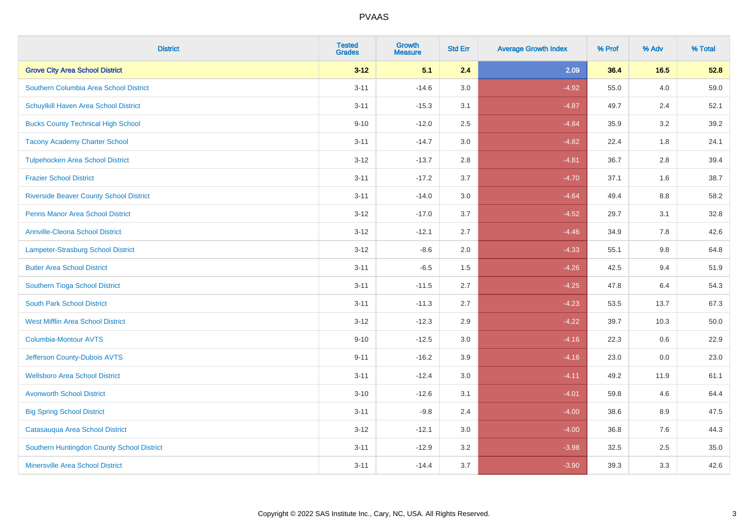| <b>District</b>                                | <b>Tested</b><br><b>Grades</b> | Growth<br><b>Measure</b> | <b>Std Err</b> | <b>Average Growth Index</b> | % Prof | % Adv   | % Total  |
|------------------------------------------------|--------------------------------|--------------------------|----------------|-----------------------------|--------|---------|----------|
| <b>Grove City Area School District</b>         | $3 - 12$                       | 5.1                      | 2.4            | 2.09                        | 36.4   | $16.5$  | 52.8     |
| Southern Columbia Area School District         | $3 - 11$                       | $-14.6$                  | 3.0            | $-4.92$                     | 55.0   | 4.0     | 59.0     |
| Schuylkill Haven Area School District          | $3 - 11$                       | $-15.3$                  | 3.1            | $-4.87$                     | 49.7   | 2.4     | 52.1     |
| <b>Bucks County Technical High School</b>      | $9 - 10$                       | $-12.0$                  | 2.5            | $-4.84$                     | 35.9   | $3.2\,$ | 39.2     |
| <b>Tacony Academy Charter School</b>           | $3 - 11$                       | $-14.7$                  | 3.0            | $-4.82$                     | 22.4   | 1.8     | 24.1     |
| <b>Tulpehocken Area School District</b>        | $3 - 12$                       | $-13.7$                  | 2.8            | $-4.81$                     | 36.7   | 2.8     | 39.4     |
| <b>Frazier School District</b>                 | $3 - 11$                       | $-17.2$                  | 3.7            | $-4.70$                     | 37.1   | 1.6     | 38.7     |
| <b>Riverside Beaver County School District</b> | $3 - 11$                       | $-14.0$                  | 3.0            | $-4.64$                     | 49.4   | 8.8     | 58.2     |
| <b>Penns Manor Area School District</b>        | $3 - 12$                       | $-17.0$                  | 3.7            | $-4.52$                     | 29.7   | 3.1     | 32.8     |
| <b>Annville-Cleona School District</b>         | $3 - 12$                       | $-12.1$                  | 2.7            | $-4.46$                     | 34.9   | $7.8\,$ | 42.6     |
| Lampeter-Strasburg School District             | $3 - 12$                       | $-8.6$                   | 2.0            | $-4.33$                     | 55.1   | 9.8     | 64.8     |
| <b>Butler Area School District</b>             | $3 - 11$                       | $-6.5$                   | 1.5            | $-4.26$                     | 42.5   | 9.4     | 51.9     |
| Southern Tioga School District                 | $3 - 11$                       | $-11.5$                  | 2.7            | $-4.25$                     | 47.8   | 6.4     | 54.3     |
| <b>South Park School District</b>              | $3 - 11$                       | $-11.3$                  | 2.7            | $-4.23$                     | 53.5   | 13.7    | 67.3     |
| <b>West Mifflin Area School District</b>       | $3 - 12$                       | $-12.3$                  | 2.9            | $-4.22$                     | 39.7   | 10.3    | $50.0\,$ |
| Columbia-Montour AVTS                          | $9 - 10$                       | $-12.5$                  | 3.0            | $-4.16$                     | 22.3   | 0.6     | 22.9     |
| Jefferson County-Dubois AVTS                   | $9 - 11$                       | $-16.2$                  | 3.9            | $-4.16$                     | 23.0   | 0.0     | 23.0     |
| <b>Wellsboro Area School District</b>          | $3 - 11$                       | $-12.4$                  | 3.0            | $-4.11$                     | 49.2   | 11.9    | 61.1     |
| <b>Avonworth School District</b>               | $3 - 10$                       | $-12.6$                  | 3.1            | $-4.01$                     | 59.8   | 4.6     | 64.4     |
| <b>Big Spring School District</b>              | $3 - 11$                       | $-9.8$                   | 2.4            | $-4.00$                     | 38.6   | 8.9     | 47.5     |
| Catasauqua Area School District                | $3 - 12$                       | $-12.1$                  | 3.0            | $-4.00$                     | 36.8   | 7.6     | 44.3     |
| Southern Huntingdon County School District     | $3 - 11$                       | $-12.9$                  | 3.2            | $-3.98$                     | 32.5   | 2.5     | 35.0     |
| <b>Minersville Area School District</b>        | $3 - 11$                       | $-14.4$                  | 3.7            | $-3.90$                     | 39.3   | 3.3     | 42.6     |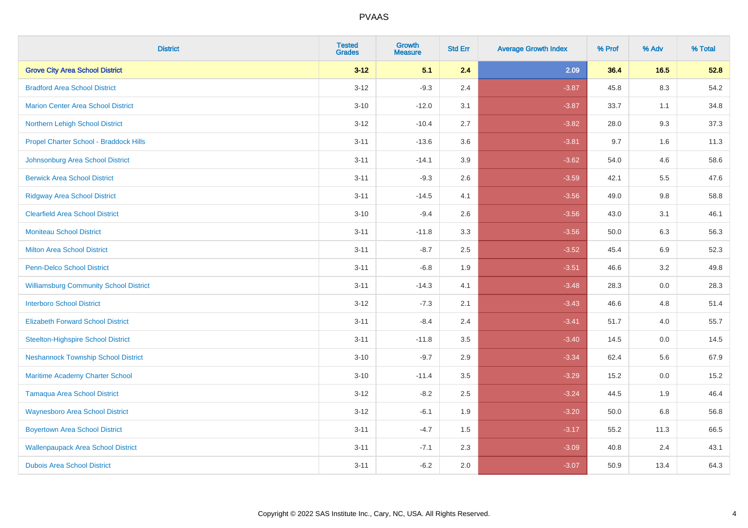| <b>District</b>                               | <b>Tested</b><br><b>Grades</b> | <b>Growth</b><br><b>Measure</b> | <b>Std Err</b> | <b>Average Growth Index</b> | % Prof | % Adv   | % Total |
|-----------------------------------------------|--------------------------------|---------------------------------|----------------|-----------------------------|--------|---------|---------|
| <b>Grove City Area School District</b>        | $3 - 12$                       | 5.1                             | 2.4            | 2.09                        | 36.4   | 16.5    | 52.8    |
| <b>Bradford Area School District</b>          | $3 - 12$                       | $-9.3$                          | 2.4            | $-3.87$                     | 45.8   | $8.3\,$ | 54.2    |
| <b>Marion Center Area School District</b>     | $3 - 10$                       | $-12.0$                         | 3.1            | $-3.87$                     | 33.7   | 1.1     | 34.8    |
| Northern Lehigh School District               | $3 - 12$                       | $-10.4$                         | 2.7            | $-3.82$                     | 28.0   | 9.3     | 37.3    |
| Propel Charter School - Braddock Hills        | $3 - 11$                       | $-13.6$                         | 3.6            | $-3.81$                     | 9.7    | 1.6     | 11.3    |
| Johnsonburg Area School District              | $3 - 11$                       | $-14.1$                         | 3.9            | $-3.62$                     | 54.0   | 4.6     | 58.6    |
| <b>Berwick Area School District</b>           | $3 - 11$                       | $-9.3$                          | 2.6            | $-3.59$                     | 42.1   | 5.5     | 47.6    |
| <b>Ridgway Area School District</b>           | $3 - 11$                       | $-14.5$                         | 4.1            | $-3.56$                     | 49.0   | 9.8     | 58.8    |
| <b>Clearfield Area School District</b>        | $3 - 10$                       | $-9.4$                          | 2.6            | $-3.56$                     | 43.0   | 3.1     | 46.1    |
| <b>Moniteau School District</b>               | $3 - 11$                       | $-11.8$                         | 3.3            | $-3.56$                     | 50.0   | 6.3     | 56.3    |
| <b>Milton Area School District</b>            | $3 - 11$                       | $-8.7$                          | 2.5            | $-3.52$                     | 45.4   | 6.9     | 52.3    |
| <b>Penn-Delco School District</b>             | $3 - 11$                       | $-6.8$                          | 1.9            | $-3.51$                     | 46.6   | 3.2     | 49.8    |
| <b>Williamsburg Community School District</b> | $3 - 11$                       | $-14.3$                         | 4.1            | $-3.48$                     | 28.3   | $0.0\,$ | 28.3    |
| <b>Interboro School District</b>              | $3 - 12$                       | $-7.3$                          | 2.1            | $-3.43$                     | 46.6   | 4.8     | 51.4    |
| <b>Elizabeth Forward School District</b>      | $3 - 11$                       | $-8.4$                          | 2.4            | $-3.41$                     | 51.7   | 4.0     | 55.7    |
| <b>Steelton-Highspire School District</b>     | $3 - 11$                       | $-11.8$                         | 3.5            | $-3.40$                     | 14.5   | $0.0\,$ | 14.5    |
| <b>Neshannock Township School District</b>    | $3 - 10$                       | $-9.7$                          | 2.9            | $-3.34$                     | 62.4   | 5.6     | 67.9    |
| Maritime Academy Charter School               | $3 - 10$                       | $-11.4$                         | 3.5            | $-3.29$                     | 15.2   | 0.0     | 15.2    |
| <b>Tamaqua Area School District</b>           | $3 - 12$                       | $-8.2$                          | 2.5            | $-3.24$                     | 44.5   | 1.9     | 46.4    |
| <b>Waynesboro Area School District</b>        | $3 - 12$                       | $-6.1$                          | 1.9            | $-3.20$                     | 50.0   | 6.8     | 56.8    |
| <b>Boyertown Area School District</b>         | $3 - 11$                       | $-4.7$                          | 1.5            | $-3.17$                     | 55.2   | 11.3    | 66.5    |
| <b>Wallenpaupack Area School District</b>     | $3 - 11$                       | $-7.1$                          | 2.3            | $-3.09$                     | 40.8   | 2.4     | 43.1    |
| <b>Dubois Area School District</b>            | $3 - 11$                       | $-6.2$                          | 2.0            | $-3.07$                     | 50.9   | 13.4    | 64.3    |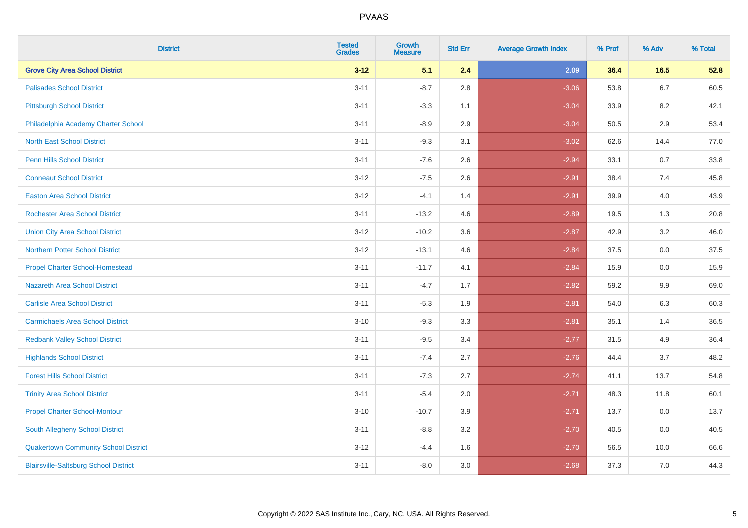| <b>District</b>                              | <b>Tested</b><br>Grades | <b>Growth</b><br><b>Measure</b> | <b>Std Err</b> | <b>Average Growth Index</b> | % Prof | % Adv   | % Total |
|----------------------------------------------|-------------------------|---------------------------------|----------------|-----------------------------|--------|---------|---------|
| <b>Grove City Area School District</b>       | $3 - 12$                | 5.1                             | 2.4            | 2.09                        | 36.4   | 16.5    | 52.8    |
| <b>Palisades School District</b>             | $3 - 11$                | $-8.7$                          | $2.8\,$        | $-3.06$                     | 53.8   | $6.7\,$ | 60.5    |
| <b>Pittsburgh School District</b>            | $3 - 11$                | $-3.3$                          | 1.1            | $-3.04$                     | 33.9   | 8.2     | 42.1    |
| Philadelphia Academy Charter School          | $3 - 11$                | $-8.9$                          | 2.9            | $-3.04$                     | 50.5   | 2.9     | 53.4    |
| <b>North East School District</b>            | $3 - 11$                | $-9.3$                          | 3.1            | $-3.02$                     | 62.6   | 14.4    | 77.0    |
| <b>Penn Hills School District</b>            | $3 - 11$                | $-7.6$                          | 2.6            | $-2.94$                     | 33.1   | 0.7     | 33.8    |
| <b>Conneaut School District</b>              | $3 - 12$                | $-7.5$                          | 2.6            | $-2.91$                     | 38.4   | 7.4     | 45.8    |
| <b>Easton Area School District</b>           | $3 - 12$                | $-4.1$                          | 1.4            | $-2.91$                     | 39.9   | 4.0     | 43.9    |
| <b>Rochester Area School District</b>        | $3 - 11$                | $-13.2$                         | 4.6            | $-2.89$                     | 19.5   | 1.3     | 20.8    |
| <b>Union City Area School District</b>       | $3 - 12$                | $-10.2$                         | 3.6            | $-2.87$                     | 42.9   | 3.2     | 46.0    |
| <b>Northern Potter School District</b>       | $3 - 12$                | $-13.1$                         | 4.6            | $-2.84$                     | 37.5   | 0.0     | 37.5    |
| <b>Propel Charter School-Homestead</b>       | $3 - 11$                | $-11.7$                         | 4.1            | $-2.84$                     | 15.9   | 0.0     | 15.9    |
| Nazareth Area School District                | $3 - 11$                | $-4.7$                          | 1.7            | $-2.82$                     | 59.2   | $9.9\,$ | 69.0    |
| <b>Carlisle Area School District</b>         | $3 - 11$                | $-5.3$                          | 1.9            | $-2.81$                     | 54.0   | 6.3     | 60.3    |
| <b>Carmichaels Area School District</b>      | $3 - 10$                | $-9.3$                          | 3.3            | $-2.81$                     | 35.1   | 1.4     | 36.5    |
| <b>Redbank Valley School District</b>        | $3 - 11$                | $-9.5$                          | 3.4            | $-2.77$                     | 31.5   | 4.9     | 36.4    |
| <b>Highlands School District</b>             | $3 - 11$                | $-7.4$                          | 2.7            | $-2.76$                     | 44.4   | 3.7     | 48.2    |
| <b>Forest Hills School District</b>          | $3 - 11$                | $-7.3$                          | 2.7            | $-2.74$                     | 41.1   | 13.7    | 54.8    |
| <b>Trinity Area School District</b>          | $3 - 11$                | $-5.4$                          | 2.0            | $-2.71$                     | 48.3   | 11.8    | 60.1    |
| <b>Propel Charter School-Montour</b>         | $3 - 10$                | $-10.7$                         | 3.9            | $-2.71$                     | 13.7   | 0.0     | 13.7    |
| South Allegheny School District              | $3 - 11$                | $-8.8$                          | 3.2            | $-2.70$                     | 40.5   | 0.0     | 40.5    |
| <b>Quakertown Community School District</b>  | $3 - 12$                | $-4.4$                          | 1.6            | $-2.70$                     | 56.5   | 10.0    | 66.6    |
| <b>Blairsville-Saltsburg School District</b> | $3 - 11$                | $-8.0$                          | 3.0            | $-2.68$                     | 37.3   | 7.0     | 44.3    |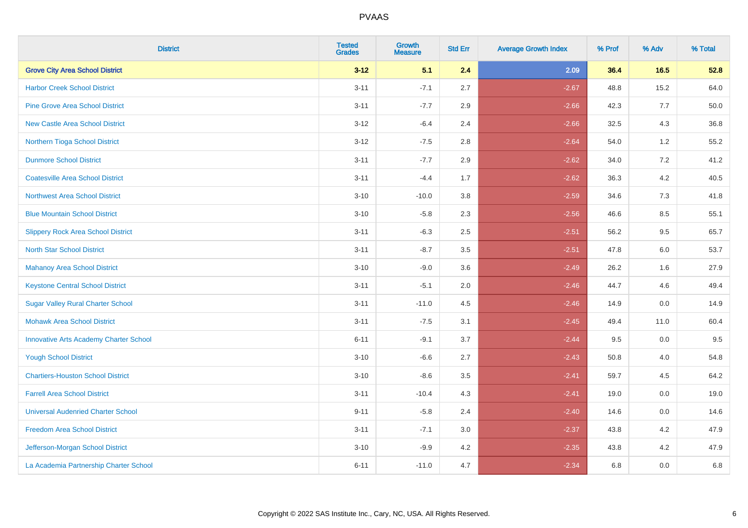| <b>District</b>                               | <b>Tested</b><br><b>Grades</b> | <b>Growth</b><br><b>Measure</b> | <b>Std Err</b> | <b>Average Growth Index</b> | % Prof | % Adv   | % Total |
|-----------------------------------------------|--------------------------------|---------------------------------|----------------|-----------------------------|--------|---------|---------|
| <b>Grove City Area School District</b>        | $3 - 12$                       | 5.1                             | 2.4            | 2.09                        | 36.4   | 16.5    | 52.8    |
| <b>Harbor Creek School District</b>           | $3 - 11$                       | $-7.1$                          | 2.7            | $-2.67$                     | 48.8   | 15.2    | 64.0    |
| <b>Pine Grove Area School District</b>        | $3 - 11$                       | $-7.7$                          | 2.9            | $-2.66$                     | 42.3   | 7.7     | 50.0    |
| <b>New Castle Area School District</b>        | $3-12$                         | $-6.4$                          | 2.4            | $-2.66$                     | 32.5   | $4.3$   | 36.8    |
| Northern Tioga School District                | $3 - 12$                       | $-7.5$                          | 2.8            | $-2.64$                     | 54.0   | 1.2     | 55.2    |
| <b>Dunmore School District</b>                | $3 - 11$                       | $-7.7$                          | 2.9            | $-2.62$                     | 34.0   | 7.2     | 41.2    |
| <b>Coatesville Area School District</b>       | $3 - 11$                       | $-4.4$                          | 1.7            | $-2.62$                     | 36.3   | $4.2\,$ | 40.5    |
| <b>Northwest Area School District</b>         | $3 - 10$                       | $-10.0$                         | 3.8            | $-2.59$                     | 34.6   | 7.3     | 41.8    |
| <b>Blue Mountain School District</b>          | $3 - 10$                       | $-5.8$                          | 2.3            | $-2.56$                     | 46.6   | 8.5     | 55.1    |
| <b>Slippery Rock Area School District</b>     | $3 - 11$                       | $-6.3$                          | 2.5            | $-2.51$                     | 56.2   | $9.5\,$ | 65.7    |
| <b>North Star School District</b>             | $3 - 11$                       | $-8.7$                          | 3.5            | $-2.51$                     | 47.8   | 6.0     | 53.7    |
| Mahanoy Area School District                  | $3 - 10$                       | $-9.0$                          | 3.6            | $-2.49$                     | 26.2   | 1.6     | 27.9    |
| <b>Keystone Central School District</b>       | $3 - 11$                       | $-5.1$                          | 2.0            | $-2.46$                     | 44.7   | 4.6     | 49.4    |
| <b>Sugar Valley Rural Charter School</b>      | $3 - 11$                       | $-11.0$                         | 4.5            | $-2.46$                     | 14.9   | $0.0\,$ | 14.9    |
| <b>Mohawk Area School District</b>            | $3 - 11$                       | $-7.5$                          | 3.1            | $-2.45$                     | 49.4   | 11.0    | 60.4    |
| <b>Innovative Arts Academy Charter School</b> | $6 - 11$                       | $-9.1$                          | 3.7            | $-2.44$                     | 9.5    | 0.0     | 9.5     |
| <b>Yough School District</b>                  | $3 - 10$                       | $-6.6$                          | 2.7            | $-2.43$                     | 50.8   | 4.0     | 54.8    |
| <b>Chartiers-Houston School District</b>      | $3 - 10$                       | $-8.6$                          | 3.5            | $-2.41$                     | 59.7   | 4.5     | 64.2    |
| <b>Farrell Area School District</b>           | $3 - 11$                       | $-10.4$                         | 4.3            | $-2.41$                     | 19.0   | 0.0     | 19.0    |
| <b>Universal Audenried Charter School</b>     | $9 - 11$                       | $-5.8$                          | 2.4            | $-2.40$                     | 14.6   | 0.0     | 14.6    |
| <b>Freedom Area School District</b>           | $3 - 11$                       | $-7.1$                          | 3.0            | $-2.37$                     | 43.8   | 4.2     | 47.9    |
| Jefferson-Morgan School District              | $3 - 10$                       | $-9.9$                          | 4.2            | $-2.35$                     | 43.8   | 4.2     | 47.9    |
| La Academia Partnership Charter School        | $6 - 11$                       | $-11.0$                         | 4.7            | $-2.34$                     | 6.8    | 0.0     | 6.8     |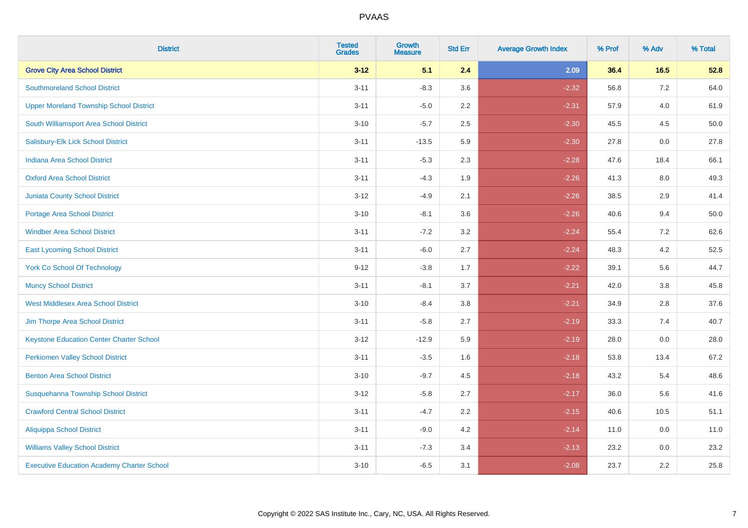| <b>District</b>                                   | <b>Tested</b><br><b>Grades</b> | Growth<br><b>Measure</b> | <b>Std Err</b> | <b>Average Growth Index</b> | % Prof | % Adv   | % Total |
|---------------------------------------------------|--------------------------------|--------------------------|----------------|-----------------------------|--------|---------|---------|
| <b>Grove City Area School District</b>            | $3 - 12$                       | 5.1                      | 2.4            | 2.09                        | 36.4   | $16.5$  | 52.8    |
| <b>Southmoreland School District</b>              | $3 - 11$                       | $-8.3$                   | 3.6            | $-2.32$                     | 56.8   | 7.2     | 64.0    |
| <b>Upper Moreland Township School District</b>    | $3 - 11$                       | $-5.0$                   | 2.2            | $-2.31$                     | 57.9   | 4.0     | 61.9    |
| South Williamsport Area School District           | $3 - 10$                       | $-5.7$                   | 2.5            | $-2.30$                     | 45.5   | 4.5     | 50.0    |
| Salisbury-Elk Lick School District                | $3 - 11$                       | $-13.5$                  | 5.9            | $-2.30$                     | 27.8   | 0.0     | 27.8    |
| <b>Indiana Area School District</b>               | $3 - 11$                       | $-5.3$                   | 2.3            | $-2.28$                     | 47.6   | 18.4    | 66.1    |
| <b>Oxford Area School District</b>                | $3 - 11$                       | $-4.3$                   | 1.9            | $-2.26$                     | 41.3   | $8.0\,$ | 49.3    |
| <b>Juniata County School District</b>             | $3 - 12$                       | $-4.9$                   | 2.1            | $-2.26$                     | 38.5   | 2.9     | 41.4    |
| <b>Portage Area School District</b>               | $3 - 10$                       | $-8.1$                   | 3.6            | $-2.26$                     | 40.6   | 9.4     | 50.0    |
| <b>Windber Area School District</b>               | $3 - 11$                       | $-7.2$                   | 3.2            | $-2.24$                     | 55.4   | $7.2\,$ | 62.6    |
| <b>East Lycoming School District</b>              | $3 - 11$                       | $-6.0$                   | 2.7            | $-2.24$                     | 48.3   | 4.2     | 52.5    |
| <b>York Co School Of Technology</b>               | $9 - 12$                       | $-3.8$                   | 1.7            | $-2.22$                     | 39.1   | 5.6     | 44.7    |
| <b>Muncy School District</b>                      | $3 - 11$                       | $-8.1$                   | 3.7            | $-2.21$                     | 42.0   | $3.8\,$ | 45.8    |
| <b>West Middlesex Area School District</b>        | $3 - 10$                       | $-8.4$                   | 3.8            | $-2.21$                     | 34.9   | 2.8     | 37.6    |
| Jim Thorpe Area School District                   | $3 - 11$                       | $-5.8$                   | 2.7            | $-2.19$                     | 33.3   | 7.4     | 40.7    |
| <b>Keystone Education Center Charter School</b>   | $3 - 12$                       | $-12.9$                  | 5.9            | $-2.19$                     | 28.0   | 0.0     | 28.0    |
| <b>Perkiomen Valley School District</b>           | $3 - 11$                       | $-3.5$                   | 1.6            | $-2.18$                     | 53.8   | 13.4    | 67.2    |
| <b>Benton Area School District</b>                | $3 - 10$                       | $-9.7$                   | 4.5            | $-2.18$                     | 43.2   | 5.4     | 48.6    |
| Susquehanna Township School District              | $3 - 12$                       | $-5.8$                   | 2.7            | $-2.17$                     | 36.0   | 5.6     | 41.6    |
| <b>Crawford Central School District</b>           | $3 - 11$                       | $-4.7$                   | 2.2            | $-2.15$                     | 40.6   | 10.5    | 51.1    |
| <b>Aliquippa School District</b>                  | $3 - 11$                       | $-9.0$                   | 4.2            | $-2.14$                     | 11.0   | 0.0     | 11.0    |
| <b>Williams Valley School District</b>            | $3 - 11$                       | $-7.3$                   | 3.4            | $-2.13$                     | 23.2   | 0.0     | 23.2    |
| <b>Executive Education Academy Charter School</b> | $3 - 10$                       | $-6.5$                   | 3.1            | $-2.08$                     | 23.7   | 2.2     | 25.8    |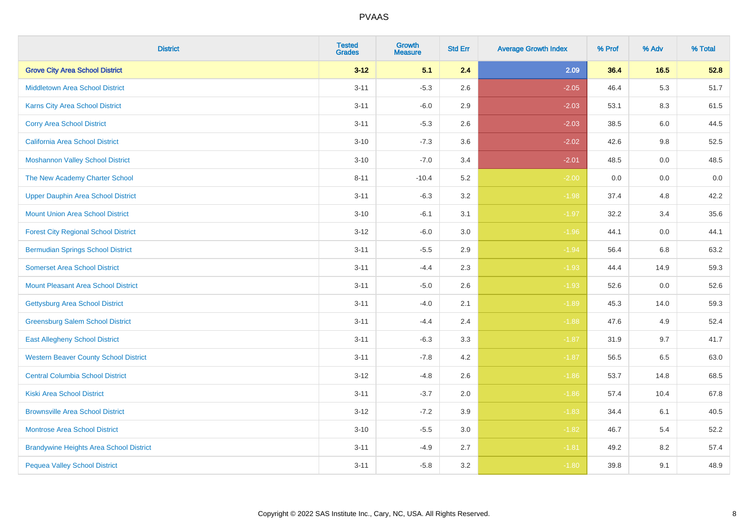| <b>District</b>                                | <b>Tested</b><br><b>Grades</b> | <b>Growth</b><br><b>Measure</b> | <b>Std Err</b> | <b>Average Growth Index</b> | % Prof | % Adv   | % Total |
|------------------------------------------------|--------------------------------|---------------------------------|----------------|-----------------------------|--------|---------|---------|
| <b>Grove City Area School District</b>         | $3 - 12$                       | 5.1                             | 2.4            | 2.09                        | 36.4   | 16.5    | 52.8    |
| <b>Middletown Area School District</b>         | $3 - 11$                       | $-5.3$                          | 2.6            | $-2.05$                     | 46.4   | 5.3     | 51.7    |
| Karns City Area School District                | $3 - 11$                       | $-6.0$                          | 2.9            | $-2.03$                     | 53.1   | 8.3     | 61.5    |
| <b>Corry Area School District</b>              | $3 - 11$                       | $-5.3$                          | 2.6            | $-2.03$                     | 38.5   | $6.0\,$ | 44.5    |
| <b>California Area School District</b>         | $3 - 10$                       | $-7.3$                          | 3.6            | $-2.02$                     | 42.6   | 9.8     | 52.5    |
| <b>Moshannon Valley School District</b>        | $3 - 10$                       | $-7.0$                          | 3.4            | $-2.01$                     | 48.5   | 0.0     | 48.5    |
| The New Academy Charter School                 | $8 - 11$                       | $-10.4$                         | 5.2            | $-2.00$                     | 0.0    | 0.0     | 0.0     |
| <b>Upper Dauphin Area School District</b>      | $3 - 11$                       | $-6.3$                          | 3.2            | $-1.98$                     | 37.4   | 4.8     | 42.2    |
| <b>Mount Union Area School District</b>        | $3 - 10$                       | $-6.1$                          | 3.1            | $-1.97$                     | 32.2   | 3.4     | 35.6    |
| <b>Forest City Regional School District</b>    | $3 - 12$                       | $-6.0$                          | 3.0            | $-1.96$                     | 44.1   | 0.0     | 44.1    |
| <b>Bermudian Springs School District</b>       | $3 - 11$                       | $-5.5$                          | 2.9            | $-1.94$                     | 56.4   | 6.8     | 63.2    |
| <b>Somerset Area School District</b>           | $3 - 11$                       | $-4.4$                          | 2.3            | $-1.93$                     | 44.4   | 14.9    | 59.3    |
| Mount Pleasant Area School District            | $3 - 11$                       | $-5.0$                          | 2.6            | $-1.93$                     | 52.6   | $0.0\,$ | 52.6    |
| <b>Gettysburg Area School District</b>         | $3 - 11$                       | $-4.0$                          | 2.1            | $-1.89$                     | 45.3   | 14.0    | 59.3    |
| <b>Greensburg Salem School District</b>        | $3 - 11$                       | $-4.4$                          | 2.4            | $-1.88$                     | 47.6   | 4.9     | 52.4    |
| <b>East Allegheny School District</b>          | $3 - 11$                       | $-6.3$                          | 3.3            | $-1.87$                     | 31.9   | 9.7     | 41.7    |
| <b>Western Beaver County School District</b>   | $3 - 11$                       | $-7.8$                          | 4.2            | $-1.87$                     | 56.5   | 6.5     | 63.0    |
| <b>Central Columbia School District</b>        | $3-12$                         | $-4.8$                          | 2.6            | $-1.86$                     | 53.7   | 14.8    | 68.5    |
| <b>Kiski Area School District</b>              | $3 - 11$                       | $-3.7$                          | 2.0            | $-1.86$                     | 57.4   | 10.4    | 67.8    |
| <b>Brownsville Area School District</b>        | $3 - 12$                       | $-7.2$                          | 3.9            | $-1.83$                     | 34.4   | 6.1     | 40.5    |
| <b>Montrose Area School District</b>           | $3 - 10$                       | $-5.5$                          | 3.0            | $-1.82$                     | 46.7   | 5.4     | 52.2    |
| <b>Brandywine Heights Area School District</b> | $3 - 11$                       | $-4.9$                          | 2.7            | $-1.81$                     | 49.2   | 8.2     | 57.4    |
| <b>Pequea Valley School District</b>           | $3 - 11$                       | $-5.8$                          | 3.2            | $-1.80$                     | 39.8   | 9.1     | 48.9    |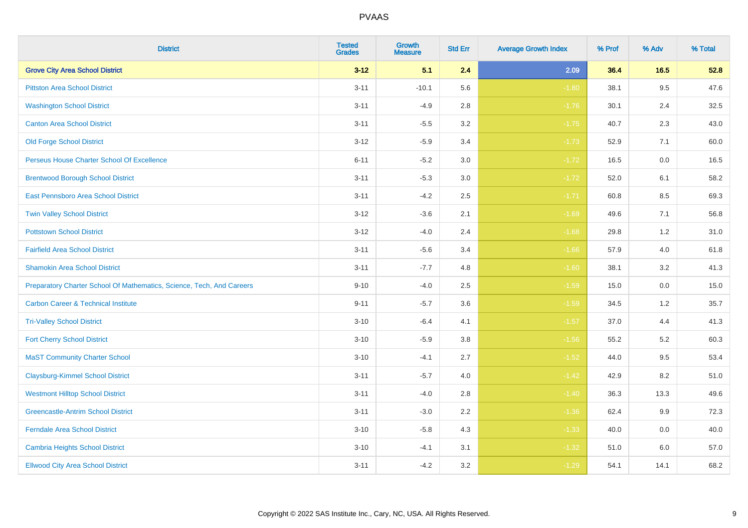| <b>District</b>                                                       | <b>Tested</b><br><b>Grades</b> | Growth<br><b>Measure</b> | <b>Std Err</b> | <b>Average Growth Index</b> | % Prof | % Adv   | % Total |
|-----------------------------------------------------------------------|--------------------------------|--------------------------|----------------|-----------------------------|--------|---------|---------|
| <b>Grove City Area School District</b>                                | $3 - 12$                       | 5.1                      | 2.4            | 2.09                        | 36.4   | $16.5$  | 52.8    |
| <b>Pittston Area School District</b>                                  | $3 - 11$                       | $-10.1$                  | 5.6            | $-1.80$                     | 38.1   | 9.5     | 47.6    |
| <b>Washington School District</b>                                     | $3 - 11$                       | $-4.9$                   | 2.8            | $-1.76$                     | 30.1   | 2.4     | 32.5    |
| <b>Canton Area School District</b>                                    | $3 - 11$                       | $-5.5$                   | $3.2\,$        | $-1.75$                     | 40.7   | 2.3     | 43.0    |
| <b>Old Forge School District</b>                                      | $3 - 12$                       | $-5.9$                   | 3.4            | $-1.73$                     | 52.9   | 7.1     | 60.0    |
| Perseus House Charter School Of Excellence                            | $6 - 11$                       | $-5.2$                   | 3.0            | $-1.72$                     | 16.5   | 0.0     | 16.5    |
| <b>Brentwood Borough School District</b>                              | $3 - 11$                       | $-5.3$                   | $3.0\,$        | $-1.72$                     | 52.0   | 6.1     | 58.2    |
| East Pennsboro Area School District                                   | $3 - 11$                       | $-4.2$                   | 2.5            | $-1.71$                     | 60.8   | 8.5     | 69.3    |
| <b>Twin Valley School District</b>                                    | $3 - 12$                       | $-3.6$                   | 2.1            | $-1.69$                     | 49.6   | 7.1     | 56.8    |
| <b>Pottstown School District</b>                                      | $3 - 12$                       | $-4.0$                   | 2.4            | $-1.68$                     | 29.8   | 1.2     | 31.0    |
| <b>Fairfield Area School District</b>                                 | $3 - 11$                       | $-5.6$                   | 3.4            | $-1.66$                     | 57.9   | 4.0     | 61.8    |
| <b>Shamokin Area School District</b>                                  | $3 - 11$                       | $-7.7$                   | 4.8            | $-1.60$                     | 38.1   | 3.2     | 41.3    |
| Preparatory Charter School Of Mathematics, Science, Tech, And Careers | $9 - 10$                       | $-4.0$                   | 2.5            | $-1.59$                     | 15.0   | $0.0\,$ | 15.0    |
| <b>Carbon Career &amp; Technical Institute</b>                        | $9 - 11$                       | $-5.7$                   | 3.6            | $-1.59$                     | 34.5   | 1.2     | 35.7    |
| <b>Tri-Valley School District</b>                                     | $3 - 10$                       | $-6.4$                   | 4.1            | $-1.57$                     | 37.0   | 4.4     | 41.3    |
| <b>Fort Cherry School District</b>                                    | $3 - 10$                       | $-5.9$                   | 3.8            | $-1.56$                     | 55.2   | 5.2     | 60.3    |
| <b>MaST Community Charter School</b>                                  | $3 - 10$                       | $-4.1$                   | 2.7            | $-1.52$                     | 44.0   | 9.5     | 53.4    |
| <b>Claysburg-Kimmel School District</b>                               | $3 - 11$                       | $-5.7$                   | 4.0            | $-1.42$                     | 42.9   | 8.2     | 51.0    |
| <b>Westmont Hilltop School District</b>                               | $3 - 11$                       | $-4.0$                   | 2.8            | $-1.40$                     | 36.3   | 13.3    | 49.6    |
| <b>Greencastle-Antrim School District</b>                             | $3 - 11$                       | $-3.0$                   | 2.2            | $-1.36$                     | 62.4   | 9.9     | 72.3    |
| <b>Ferndale Area School District</b>                                  | $3 - 10$                       | $-5.8$                   | 4.3            | $-1.33$                     | 40.0   | 0.0     | 40.0    |
| <b>Cambria Heights School District</b>                                | $3 - 10$                       | $-4.1$                   | 3.1            | $-1.32$                     | 51.0   | 6.0     | 57.0    |
| <b>Ellwood City Area School District</b>                              | $3 - 11$                       | $-4.2$                   | 3.2            | $-1.29$                     | 54.1   | 14.1    | 68.2    |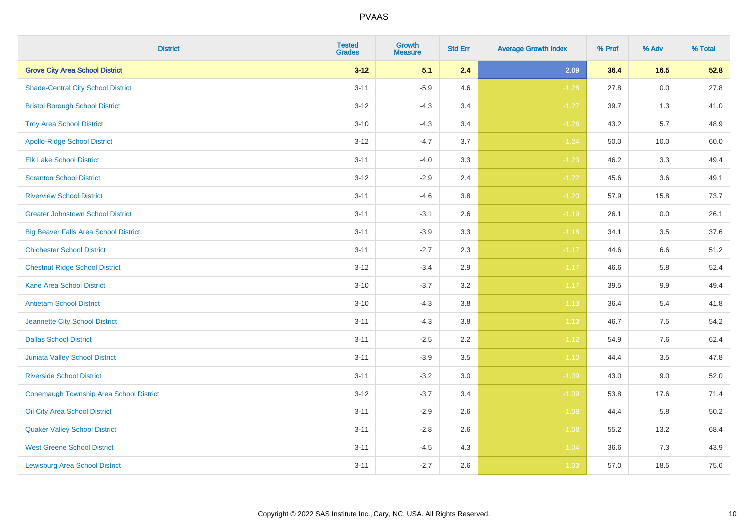| <b>District</b>                              | <b>Tested</b><br><b>Grades</b> | <b>Growth</b><br><b>Measure</b> | <b>Std Err</b> | <b>Average Growth Index</b> | % Prof | % Adv   | % Total |
|----------------------------------------------|--------------------------------|---------------------------------|----------------|-----------------------------|--------|---------|---------|
| <b>Grove City Area School District</b>       | $3 - 12$                       | 5.1                             | 2.4            | 2.09                        | 36.4   | 16.5    | 52.8    |
| <b>Shade-Central City School District</b>    | $3 - 11$                       | $-5.9$                          | 4.6            | $-1.28$                     | 27.8   | 0.0     | 27.8    |
| <b>Bristol Borough School District</b>       | $3 - 12$                       | $-4.3$                          | 3.4            | $-1.27$                     | 39.7   | 1.3     | 41.0    |
| <b>Troy Area School District</b>             | $3 - 10$                       | $-4.3$                          | 3.4            | $-1.26$                     | 43.2   | 5.7     | 48.9    |
| <b>Apollo-Ridge School District</b>          | $3 - 12$                       | $-4.7$                          | 3.7            | $-1.24$                     | 50.0   | 10.0    | 60.0    |
| <b>Elk Lake School District</b>              | $3 - 11$                       | $-4.0$                          | 3.3            | $-1.23$                     | 46.2   | 3.3     | 49.4    |
| <b>Scranton School District</b>              | $3 - 12$                       | $-2.9$                          | 2.4            | $-1.22$                     | 45.6   | 3.6     | 49.1    |
| <b>Riverview School District</b>             | $3 - 11$                       | $-4.6$                          | 3.8            | $-1.20$                     | 57.9   | 15.8    | 73.7    |
| <b>Greater Johnstown School District</b>     | $3 - 11$                       | $-3.1$                          | 2.6            | $-1.19$                     | 26.1   | 0.0     | 26.1    |
| <b>Big Beaver Falls Area School District</b> | $3 - 11$                       | $-3.9$                          | 3.3            | $-1.18$                     | 34.1   | 3.5     | 37.6    |
| <b>Chichester School District</b>            | $3 - 11$                       | $-2.7$                          | 2.3            | $-1.17$                     | 44.6   | 6.6     | 51.2    |
| <b>Chestnut Ridge School District</b>        | $3 - 12$                       | $-3.4$                          | 2.9            | $-1.17$                     | 46.6   | 5.8     | 52.4    |
| Kane Area School District                    | $3 - 10$                       | $-3.7$                          | $3.2\,$        | $-1.17$                     | 39.5   | $9.9\,$ | 49.4    |
| <b>Antietam School District</b>              | $3 - 10$                       | $-4.3$                          | 3.8            | $-1.13$                     | 36.4   | 5.4     | 41.8    |
| Jeannette City School District               | $3 - 11$                       | $-4.3$                          | 3.8            | $-1.13$                     | 46.7   | $7.5\,$ | 54.2    |
| <b>Dallas School District</b>                | $3 - 11$                       | $-2.5$                          | 2.2            | $-1.12$                     | 54.9   | 7.6     | 62.4    |
| Juniata Valley School District               | $3 - 11$                       | $-3.9$                          | 3.5            | $-1.10$                     | 44.4   | 3.5     | 47.8    |
| <b>Riverside School District</b>             | $3 - 11$                       | $-3.2$                          | 3.0            | $-1.09$                     | 43.0   | 9.0     | 52.0    |
| Conemaugh Township Area School District      | $3 - 12$                       | $-3.7$                          | 3.4            | $-1.09$                     | 53.8   | 17.6    | 71.4    |
| Oil City Area School District                | $3 - 11$                       | $-2.9$                          | 2.6            | $-1.08$                     | 44.4   | 5.8     | 50.2    |
| <b>Quaker Valley School District</b>         | $3 - 11$                       | $-2.8$                          | 2.6            | $-1.08$                     | 55.2   | 13.2    | 68.4    |
| <b>West Greene School District</b>           | $3 - 11$                       | $-4.5$                          | 4.3            | $-1.04$                     | 36.6   | 7.3     | 43.9    |
| <b>Lewisburg Area School District</b>        | $3 - 11$                       | $-2.7$                          | 2.6            | $-1.03$                     | 57.0   | 18.5    | 75.6    |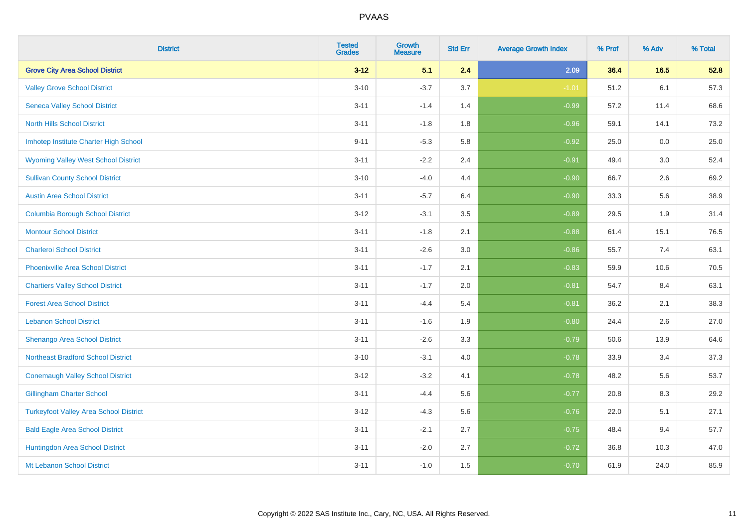| <b>District</b>                               | <b>Tested</b><br><b>Grades</b> | <b>Growth</b><br><b>Measure</b> | <b>Std Err</b> | <b>Average Growth Index</b> | % Prof | % Adv | % Total |
|-----------------------------------------------|--------------------------------|---------------------------------|----------------|-----------------------------|--------|-------|---------|
| <b>Grove City Area School District</b>        | $3 - 12$                       | 5.1                             | 2.4            | 2.09                        | 36.4   | 16.5  | 52.8    |
| <b>Valley Grove School District</b>           | $3 - 10$                       | $-3.7$                          | 3.7            | $-1.01$                     | 51.2   | 6.1   | 57.3    |
| <b>Seneca Valley School District</b>          | $3 - 11$                       | $-1.4$                          | 1.4            | $-0.99$                     | 57.2   | 11.4  | 68.6    |
| <b>North Hills School District</b>            | $3 - 11$                       | $-1.8$                          | 1.8            | $-0.96$                     | 59.1   | 14.1  | 73.2    |
| Imhotep Institute Charter High School         | $9 - 11$                       | $-5.3$                          | 5.8            | $-0.92$                     | 25.0   | 0.0   | 25.0    |
| <b>Wyoming Valley West School District</b>    | $3 - 11$                       | $-2.2$                          | 2.4            | $-0.91$                     | 49.4   | 3.0   | 52.4    |
| <b>Sullivan County School District</b>        | $3 - 10$                       | $-4.0$                          | 4.4            | $-0.90$                     | 66.7   | 2.6   | 69.2    |
| <b>Austin Area School District</b>            | $3 - 11$                       | $-5.7$                          | 6.4            | $-0.90$                     | 33.3   | 5.6   | 38.9    |
| <b>Columbia Borough School District</b>       | $3 - 12$                       | $-3.1$                          | 3.5            | $-0.89$                     | 29.5   | 1.9   | 31.4    |
| <b>Montour School District</b>                | $3 - 11$                       | $-1.8$                          | 2.1            | $-0.88$                     | 61.4   | 15.1  | 76.5    |
| <b>Charleroi School District</b>              | $3 - 11$                       | $-2.6$                          | 3.0            | $-0.86$                     | 55.7   | 7.4   | 63.1    |
| <b>Phoenixville Area School District</b>      | $3 - 11$                       | $-1.7$                          | 2.1            | $-0.83$                     | 59.9   | 10.6  | 70.5    |
| <b>Chartiers Valley School District</b>       | $3 - 11$                       | $-1.7$                          | 2.0            | $-0.81$                     | 54.7   | 8.4   | 63.1    |
| <b>Forest Area School District</b>            | $3 - 11$                       | $-4.4$                          | 5.4            | $-0.81$                     | 36.2   | 2.1   | 38.3    |
| <b>Lebanon School District</b>                | $3 - 11$                       | $-1.6$                          | 1.9            | $-0.80$                     | 24.4   | 2.6   | 27.0    |
| Shenango Area School District                 | $3 - 11$                       | $-2.6$                          | 3.3            | $-0.79$                     | 50.6   | 13.9  | 64.6    |
| <b>Northeast Bradford School District</b>     | $3 - 10$                       | $-3.1$                          | 4.0            | $-0.78$                     | 33.9   | 3.4   | 37.3    |
| <b>Conemaugh Valley School District</b>       | $3 - 12$                       | $-3.2$                          | 4.1            | $-0.78$                     | 48.2   | 5.6   | 53.7    |
| <b>Gillingham Charter School</b>              | $3 - 11$                       | $-4.4$                          | 5.6            | $-0.77$                     | 20.8   | 8.3   | 29.2    |
| <b>Turkeyfoot Valley Area School District</b> | $3 - 12$                       | $-4.3$                          | 5.6            | $-0.76$                     | 22.0   | 5.1   | 27.1    |
| <b>Bald Eagle Area School District</b>        | $3 - 11$                       | $-2.1$                          | 2.7            | $-0.75$                     | 48.4   | 9.4   | 57.7    |
| Huntingdon Area School District               | $3 - 11$                       | $-2.0$                          | 2.7            | $-0.72$                     | 36.8   | 10.3  | 47.0    |
| Mt Lebanon School District                    | $3 - 11$                       | $-1.0$                          | 1.5            | $-0.70$                     | 61.9   | 24.0  | 85.9    |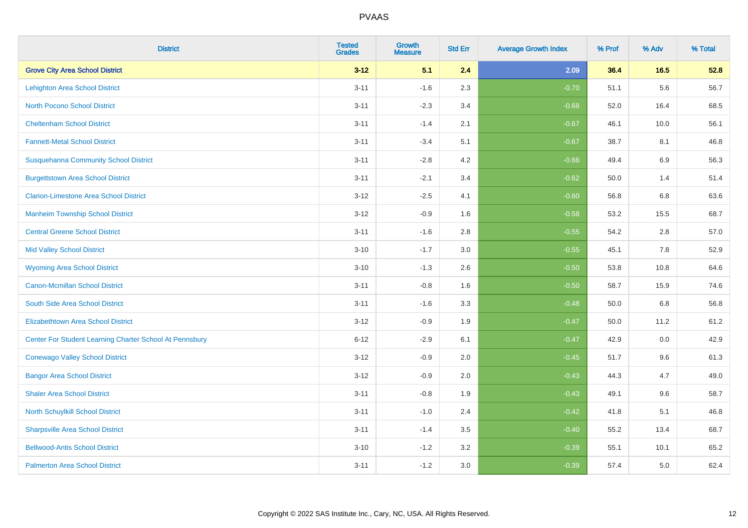| <b>District</b>                                         | <b>Tested</b><br><b>Grades</b> | <b>Growth</b><br><b>Measure</b> | <b>Std Err</b> | <b>Average Growth Index</b> | % Prof | % Adv   | % Total |
|---------------------------------------------------------|--------------------------------|---------------------------------|----------------|-----------------------------|--------|---------|---------|
| <b>Grove City Area School District</b>                  | $3 - 12$                       | 5.1                             | 2.4            | 2.09                        | 36.4   | 16.5    | 52.8    |
| <b>Lehighton Area School District</b>                   | $3 - 11$                       | $-1.6$                          | 2.3            | $-0.70$                     | 51.1   | 5.6     | 56.7    |
| <b>North Pocono School District</b>                     | $3 - 11$                       | $-2.3$                          | 3.4            | $-0.68$                     | 52.0   | 16.4    | 68.5    |
| <b>Cheltenham School District</b>                       | $3 - 11$                       | $-1.4$                          | 2.1            | $-0.67$                     | 46.1   | 10.0    | 56.1    |
| <b>Fannett-Metal School District</b>                    | $3 - 11$                       | $-3.4$                          | 5.1            | $-0.67$                     | 38.7   | 8.1     | 46.8    |
| <b>Susquehanna Community School District</b>            | $3 - 11$                       | $-2.8$                          | 4.2            | $-0.66$                     | 49.4   | 6.9     | 56.3    |
| <b>Burgettstown Area School District</b>                | $3 - 11$                       | $-2.1$                          | 3.4            | $-0.62$                     | 50.0   | 1.4     | 51.4    |
| <b>Clarion-Limestone Area School District</b>           | $3 - 12$                       | $-2.5$                          | 4.1            | $-0.60$                     | 56.8   | 6.8     | 63.6    |
| <b>Manheim Township School District</b>                 | $3 - 12$                       | $-0.9$                          | 1.6            | $-0.58$                     | 53.2   | 15.5    | 68.7    |
| <b>Central Greene School District</b>                   | $3 - 11$                       | $-1.6$                          | 2.8            | $-0.55$                     | 54.2   | $2.8\,$ | 57.0    |
| <b>Mid Valley School District</b>                       | $3 - 10$                       | $-1.7$                          | 3.0            | $-0.55$                     | 45.1   | 7.8     | 52.9    |
| <b>Wyoming Area School District</b>                     | $3 - 10$                       | $-1.3$                          | 2.6            | $-0.50$                     | 53.8   | 10.8    | 64.6    |
| <b>Canon-Mcmillan School District</b>                   | $3 - 11$                       | $-0.8$                          | 1.6            | $-0.50$                     | 58.7   | 15.9    | 74.6    |
| South Side Area School District                         | $3 - 11$                       | $-1.6$                          | 3.3            | $-0.48$                     | 50.0   | 6.8     | 56.8    |
| <b>Elizabethtown Area School District</b>               | $3 - 12$                       | $-0.9$                          | 1.9            | $-0.47$                     | 50.0   | 11.2    | 61.2    |
| Center For Student Learning Charter School At Pennsbury | $6 - 12$                       | $-2.9$                          | 6.1            | $-0.47$                     | 42.9   | 0.0     | 42.9    |
| <b>Conewago Valley School District</b>                  | $3 - 12$                       | $-0.9$                          | 2.0            | $-0.45$                     | 51.7   | 9.6     | 61.3    |
| <b>Bangor Area School District</b>                      | $3 - 12$                       | $-0.9$                          | 2.0            | $-0.43$                     | 44.3   | 4.7     | 49.0    |
| <b>Shaler Area School District</b>                      | $3 - 11$                       | $-0.8$                          | 1.9            | $-0.43$                     | 49.1   | 9.6     | 58.7    |
| North Schuylkill School District                        | $3 - 11$                       | $-1.0$                          | 2.4            | $-0.42$                     | 41.8   | 5.1     | 46.8    |
| <b>Sharpsville Area School District</b>                 | $3 - 11$                       | $-1.4$                          | 3.5            | $-0.40$                     | 55.2   | 13.4    | 68.7    |
| <b>Bellwood-Antis School District</b>                   | $3 - 10$                       | $-1.2$                          | 3.2            | $-0.39$                     | 55.1   | 10.1    | 65.2    |
| <b>Palmerton Area School District</b>                   | $3 - 11$                       | $-1.2$                          | 3.0            | $-0.39$                     | 57.4   | 5.0     | 62.4    |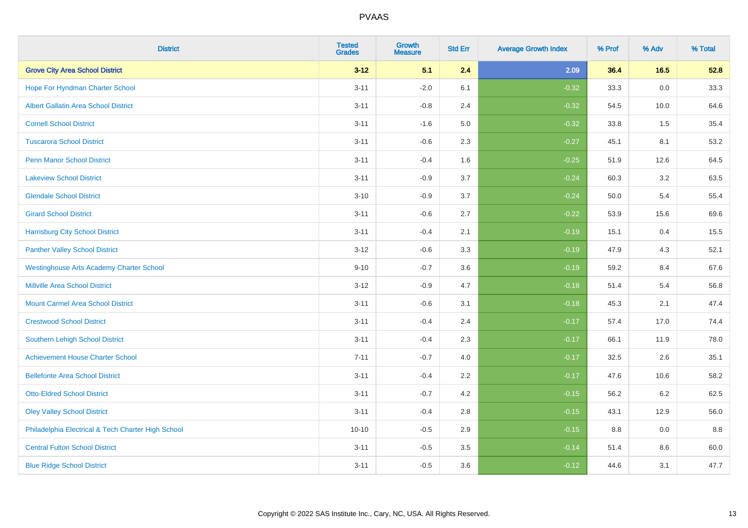| <b>District</b>                                    | <b>Tested</b><br><b>Grades</b> | Growth<br><b>Measure</b> | <b>Std Err</b> | <b>Average Growth Index</b> | % Prof | % Adv   | % Total |
|----------------------------------------------------|--------------------------------|--------------------------|----------------|-----------------------------|--------|---------|---------|
| <b>Grove City Area School District</b>             | $3 - 12$                       | 5.1                      | 2.4            | 2.09                        | 36.4   | $16.5$  | 52.8    |
| Hope For Hyndman Charter School                    | $3 - 11$                       | $-2.0$                   | 6.1            | $-0.32$                     | 33.3   | $0.0\,$ | 33.3    |
| <b>Albert Gallatin Area School District</b>        | $3 - 11$                       | $-0.8$                   | 2.4            | $-0.32$                     | 54.5   | 10.0    | 64.6    |
| <b>Cornell School District</b>                     | $3 - 11$                       | $-1.6$                   | 5.0            | $-0.32$                     | 33.8   | 1.5     | 35.4    |
| <b>Tuscarora School District</b>                   | $3 - 11$                       | $-0.6$                   | 2.3            | $-0.27$                     | 45.1   | 8.1     | 53.2    |
| <b>Penn Manor School District</b>                  | $3 - 11$                       | $-0.4$                   | 1.6            | $-0.25$                     | 51.9   | 12.6    | 64.5    |
| <b>Lakeview School District</b>                    | $3 - 11$                       | $-0.9$                   | 3.7            | $-0.24$                     | 60.3   | 3.2     | 63.5    |
| <b>Glendale School District</b>                    | $3 - 10$                       | $-0.9$                   | 3.7            | $-0.24$                     | 50.0   | 5.4     | 55.4    |
| <b>Girard School District</b>                      | $3 - 11$                       | $-0.6$                   | 2.7            | $-0.22$                     | 53.9   | 15.6    | 69.6    |
| <b>Harrisburg City School District</b>             | $3 - 11$                       | $-0.4$                   | 2.1            | $-0.19$                     | 15.1   | 0.4     | 15.5    |
| <b>Panther Valley School District</b>              | $3 - 12$                       | $-0.6$                   | 3.3            | $-0.19$                     | 47.9   | 4.3     | 52.1    |
| <b>Westinghouse Arts Academy Charter School</b>    | $9 - 10$                       | $-0.7$                   | 3.6            | $-0.19$                     | 59.2   | 8.4     | 67.6    |
| Millville Area School District                     | $3 - 12$                       | $-0.9$                   | 4.7            | $-0.18$                     | 51.4   | 5.4     | 56.8    |
| <b>Mount Carmel Area School District</b>           | $3 - 11$                       | $-0.6$                   | 3.1            | $-0.18$                     | 45.3   | 2.1     | 47.4    |
| <b>Crestwood School District</b>                   | $3 - 11$                       | $-0.4$                   | 2.4            | $-0.17$                     | 57.4   | 17.0    | 74.4    |
| Southern Lehigh School District                    | $3 - 11$                       | $-0.4$                   | 2.3            | $-0.17$                     | 66.1   | 11.9    | 78.0    |
| <b>Achievement House Charter School</b>            | $7 - 11$                       | $-0.7$                   | 4.0            | $-0.17$                     | 32.5   | 2.6     | 35.1    |
| <b>Bellefonte Area School District</b>             | $3 - 11$                       | $-0.4$                   | 2.2            | $-0.17$                     | 47.6   | 10.6    | 58.2    |
| <b>Otto-Eldred School District</b>                 | $3 - 11$                       | $-0.7$                   | 4.2            | $-0.15$                     | 56.2   | $6.2\,$ | 62.5    |
| <b>Oley Valley School District</b>                 | $3 - 11$                       | $-0.4$                   | 2.8            | $-0.15$                     | 43.1   | 12.9    | 56.0    |
| Philadelphia Electrical & Tech Charter High School | $10 - 10$                      | $-0.5$                   | 2.9            | $-0.15$                     | 8.8    | 0.0     | 8.8     |
| <b>Central Fulton School District</b>              | $3 - 11$                       | $-0.5$                   | 3.5            | $-0.14$                     | 51.4   | $8.6\,$ | 60.0    |
| <b>Blue Ridge School District</b>                  | $3 - 11$                       | $-0.5$                   | 3.6            | $-0.12$                     | 44.6   | 3.1     | 47.7    |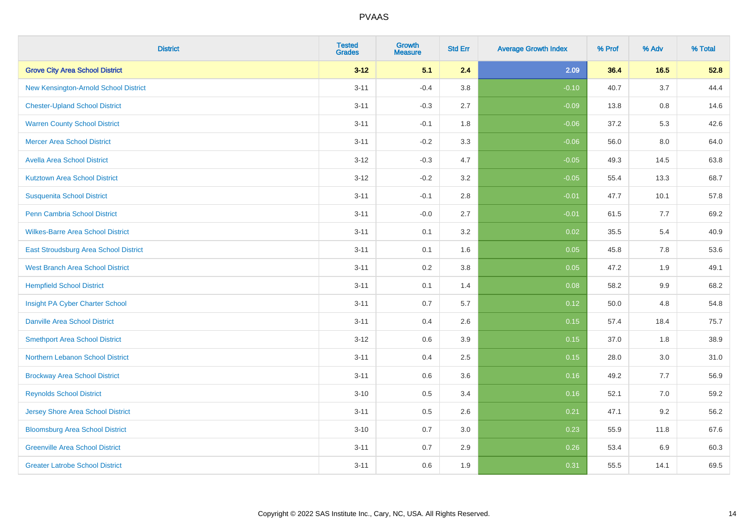| <b>District</b>                          | <b>Tested</b><br><b>Grades</b> | <b>Growth</b><br><b>Measure</b> | <b>Std Err</b> | <b>Average Growth Index</b> | % Prof | % Adv   | % Total |
|------------------------------------------|--------------------------------|---------------------------------|----------------|-----------------------------|--------|---------|---------|
| <b>Grove City Area School District</b>   | $3 - 12$                       | 5.1                             | 2.4            | 2.09                        | 36.4   | 16.5    | 52.8    |
| New Kensington-Arnold School District    | $3 - 11$                       | $-0.4$                          | $3.8\,$        | $-0.10$                     | 40.7   | 3.7     | 44.4    |
| <b>Chester-Upland School District</b>    | $3 - 11$                       | $-0.3$                          | 2.7            | $-0.09$                     | 13.8   | 0.8     | 14.6    |
| <b>Warren County School District</b>     | $3 - 11$                       | $-0.1$                          | 1.8            | $-0.06$                     | 37.2   | 5.3     | 42.6    |
| <b>Mercer Area School District</b>       | $3 - 11$                       | $-0.2$                          | 3.3            | $-0.06$                     | 56.0   | 8.0     | 64.0    |
| <b>Avella Area School District</b>       | $3 - 12$                       | $-0.3$                          | 4.7            | $-0.05$                     | 49.3   | 14.5    | 63.8    |
| <b>Kutztown Area School District</b>     | $3 - 12$                       | $-0.2$                          | 3.2            | $-0.05$                     | 55.4   | 13.3    | 68.7    |
| <b>Susquenita School District</b>        | $3 - 11$                       | $-0.1$                          | 2.8            | $-0.01$                     | 47.7   | 10.1    | 57.8    |
| Penn Cambria School District             | $3 - 11$                       | $-0.0$                          | 2.7            | $-0.01$                     | 61.5   | $7.7$   | 69.2    |
| <b>Wilkes-Barre Area School District</b> | $3 - 11$                       | 0.1                             | 3.2            | 0.02                        | 35.5   | 5.4     | 40.9    |
| East Stroudsburg Area School District    | $3 - 11$                       | 0.1                             | 1.6            | 0.05                        | 45.8   | 7.8     | 53.6    |
| <b>West Branch Area School District</b>  | $3 - 11$                       | 0.2                             | 3.8            | 0.05                        | 47.2   | 1.9     | 49.1    |
| <b>Hempfield School District</b>         | $3 - 11$                       | 0.1                             | 1.4            | 0.08                        | 58.2   | $9.9\,$ | 68.2    |
| Insight PA Cyber Charter School          | $3 - 11$                       | 0.7                             | 5.7            | 0.12                        | 50.0   | 4.8     | 54.8    |
| <b>Danville Area School District</b>     | $3 - 11$                       | 0.4                             | 2.6            | 0.15                        | 57.4   | 18.4    | 75.7    |
| <b>Smethport Area School District</b>    | $3 - 12$                       | 0.6                             | 3.9            | 0.15                        | 37.0   | 1.8     | 38.9    |
| <b>Northern Lebanon School District</b>  | $3 - 11$                       | 0.4                             | 2.5            | 0.15                        | 28.0   | 3.0     | 31.0    |
| <b>Brockway Area School District</b>     | $3 - 11$                       | 0.6                             | 3.6            | 0.16                        | 49.2   | 7.7     | 56.9    |
| <b>Reynolds School District</b>          | $3 - 10$                       | 0.5                             | 3.4            | 0.16                        | 52.1   | 7.0     | 59.2    |
| Jersey Shore Area School District        | $3 - 11$                       | 0.5                             | 2.6            | 0.21                        | 47.1   | 9.2     | 56.2    |
| <b>Bloomsburg Area School District</b>   | $3 - 10$                       | 0.7                             | 3.0            | 0.23                        | 55.9   | 11.8    | 67.6    |
| <b>Greenville Area School District</b>   | $3 - 11$                       | 0.7                             | 2.9            | 0.26                        | 53.4   | 6.9     | 60.3    |
| <b>Greater Latrobe School District</b>   | $3 - 11$                       | 0.6                             | 1.9            | 0.31                        | 55.5   | 14.1    | 69.5    |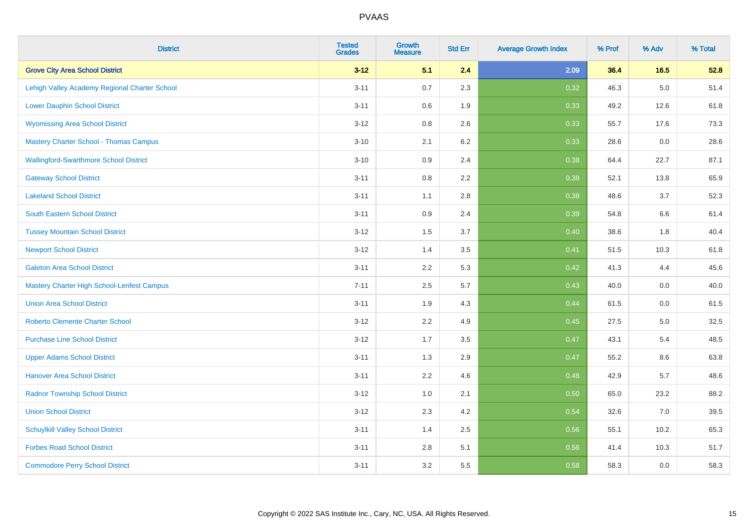| <b>District</b>                               | <b>Tested</b><br><b>Grades</b> | <b>Growth</b><br><b>Measure</b> | <b>Std Err</b> | <b>Average Growth Index</b> | % Prof | % Adv   | % Total |
|-----------------------------------------------|--------------------------------|---------------------------------|----------------|-----------------------------|--------|---------|---------|
| <b>Grove City Area School District</b>        | $3 - 12$                       | 5.1                             | 2.4            | 2.09                        | 36.4   | 16.5    | 52.8    |
| Lehigh Valley Academy Regional Charter School | $3 - 11$                       | 0.7                             | 2.3            | 0.32                        | 46.3   | $5.0\,$ | 51.4    |
| <b>Lower Dauphin School District</b>          | $3 - 11$                       | 0.6                             | 1.9            | 0.33                        | 49.2   | 12.6    | 61.8    |
| <b>Wyomissing Area School District</b>        | $3 - 12$                       | 0.8                             | 2.6            | 0.33                        | 55.7   | 17.6    | 73.3    |
| <b>Mastery Charter School - Thomas Campus</b> | $3 - 10$                       | 2.1                             | 6.2            | 0.33                        | 28.6   | 0.0     | 28.6    |
| <b>Wallingford-Swarthmore School District</b> | $3 - 10$                       | 0.9                             | 2.4            | 0.38                        | 64.4   | 22.7    | 87.1    |
| <b>Gateway School District</b>                | $3 - 11$                       | 0.8                             | 2.2            | 0.38                        | 52.1   | 13.8    | 65.9    |
| <b>Lakeland School District</b>               | $3 - 11$                       | 1.1                             | 2.8            | 0.38                        | 48.6   | 3.7     | 52.3    |
| South Eastern School District                 | $3 - 11$                       | 0.9                             | 2.4            | 0.39                        | 54.8   | 6.6     | 61.4    |
| <b>Tussey Mountain School District</b>        | $3 - 12$                       | 1.5                             | 3.7            | 0.40                        | 38.6   | 1.8     | 40.4    |
| <b>Newport School District</b>                | $3 - 12$                       | 1.4                             | 3.5            | 0.41                        | 51.5   | 10.3    | 61.8    |
| <b>Galeton Area School District</b>           | $3 - 11$                       | 2.2                             | 5.3            | 0.42                        | 41.3   | 4.4     | 45.6    |
| Mastery Charter High School-Lenfest Campus    | $7 - 11$                       | 2.5                             | 5.7            | 0.43                        | 40.0   | 0.0     | 40.0    |
| <b>Union Area School District</b>             | $3 - 11$                       | 1.9                             | 4.3            | 0.44                        | 61.5   | 0.0     | 61.5    |
| <b>Roberto Clemente Charter School</b>        | $3 - 12$                       | 2.2                             | 4.9            | 0.45                        | 27.5   | 5.0     | 32.5    |
| <b>Purchase Line School District</b>          | $3 - 12$                       | 1.7                             | 3.5            | 0.47                        | 43.1   | 5.4     | 48.5    |
| <b>Upper Adams School District</b>            | $3 - 11$                       | 1.3                             | 2.9            | 0.47                        | 55.2   | 8.6     | 63.8    |
| <b>Hanover Area School District</b>           | $3 - 11$                       | 2.2                             | 4.6            | 0.48                        | 42.9   | 5.7     | 48.6    |
| <b>Radnor Township School District</b>        | $3 - 12$                       | 1.0                             | 2.1            | 0.50                        | 65.0   | 23.2    | 88.2    |
| <b>Union School District</b>                  | $3 - 12$                       | 2.3                             | 4.2            | 0.54                        | 32.6   | 7.0     | 39.5    |
| <b>Schuylkill Valley School District</b>      | $3 - 11$                       | 1.4                             | 2.5            | 0.56                        | 55.1   | 10.2    | 65.3    |
| <b>Forbes Road School District</b>            | $3 - 11$                       | 2.8                             | 5.1            | 0.56                        | 41.4   | 10.3    | 51.7    |
| <b>Commodore Perry School District</b>        | $3 - 11$                       | 3.2                             | 5.5            | 0.58                        | 58.3   | 0.0     | 58.3    |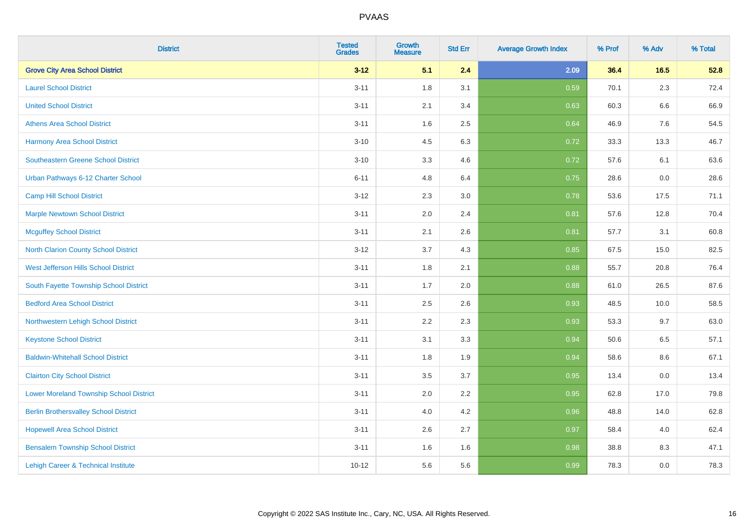| <b>District</b>                                | <b>Tested</b><br><b>Grades</b> | <b>Growth</b><br><b>Measure</b> | <b>Std Err</b> | <b>Average Growth Index</b> | % Prof | % Adv   | % Total |
|------------------------------------------------|--------------------------------|---------------------------------|----------------|-----------------------------|--------|---------|---------|
| <b>Grove City Area School District</b>         | $3 - 12$                       | 5.1                             | 2.4            | 2.09                        | 36.4   | 16.5    | 52.8    |
| <b>Laurel School District</b>                  | $3 - 11$                       | 1.8                             | 3.1            | 0.59                        | 70.1   | $2.3\,$ | 72.4    |
| <b>United School District</b>                  | $3 - 11$                       | 2.1                             | 3.4            | 0.63                        | 60.3   | 6.6     | 66.9    |
| <b>Athens Area School District</b>             | $3 - 11$                       | 1.6                             | 2.5            | 0.64                        | 46.9   | 7.6     | 54.5    |
| <b>Harmony Area School District</b>            | $3 - 10$                       | 4.5                             | 6.3            | 0.72                        | 33.3   | 13.3    | 46.7    |
| Southeastern Greene School District            | $3 - 10$                       | 3.3                             | 4.6            | 0.72                        | 57.6   | 6.1     | 63.6    |
| Urban Pathways 6-12 Charter School             | $6 - 11$                       | 4.8                             | 6.4            | 0.75                        | 28.6   | 0.0     | 28.6    |
| <b>Camp Hill School District</b>               | $3 - 12$                       | 2.3                             | $3.0\,$        | 0.78                        | 53.6   | 17.5    | 71.1    |
| <b>Marple Newtown School District</b>          | $3 - 11$                       | 2.0                             | 2.4            | 0.81                        | 57.6   | 12.8    | 70.4    |
| <b>Mcguffey School District</b>                | $3 - 11$                       | 2.1                             | 2.6            | 0.81                        | 57.7   | 3.1     | 60.8    |
| North Clarion County School District           | $3 - 12$                       | 3.7                             | 4.3            | 0.85                        | 67.5   | 15.0    | 82.5    |
| West Jefferson Hills School District           | $3 - 11$                       | 1.8                             | 2.1            | 0.88                        | 55.7   | 20.8    | 76.4    |
| South Fayette Township School District         | $3 - 11$                       | 1.7                             | 2.0            | 0.88                        | 61.0   | 26.5    | 87.6    |
| <b>Bedford Area School District</b>            | $3 - 11$                       | 2.5                             | 2.6            | 0.93                        | 48.5   | 10.0    | 58.5    |
| Northwestern Lehigh School District            | $3 - 11$                       | 2.2                             | 2.3            | 0.93                        | 53.3   | 9.7     | 63.0    |
| <b>Keystone School District</b>                | $3 - 11$                       | 3.1                             | 3.3            | 0.94                        | 50.6   | 6.5     | 57.1    |
| <b>Baldwin-Whitehall School District</b>       | $3 - 11$                       | 1.8                             | 1.9            | 0.94                        | 58.6   | 8.6     | 67.1    |
| <b>Clairton City School District</b>           | $3 - 11$                       | 3.5                             | 3.7            | 0.95                        | 13.4   | 0.0     | 13.4    |
| <b>Lower Moreland Township School District</b> | $3 - 11$                       | 2.0                             | 2.2            | 0.95                        | 62.8   | 17.0    | 79.8    |
| <b>Berlin Brothersvalley School District</b>   | $3 - 11$                       | 4.0                             | 4.2            | 0.96                        | 48.8   | 14.0    | 62.8    |
| <b>Hopewell Area School District</b>           | $3 - 11$                       | 2.6                             | 2.7            | 0.97                        | 58.4   | 4.0     | 62.4    |
| <b>Bensalem Township School District</b>       | $3 - 11$                       | 1.6                             | 1.6            | 0.98                        | 38.8   | 8.3     | 47.1    |
| Lehigh Career & Technical Institute            | $10 - 12$                      | 5.6                             | 5.6            | 0.99                        | 78.3   | 0.0     | 78.3    |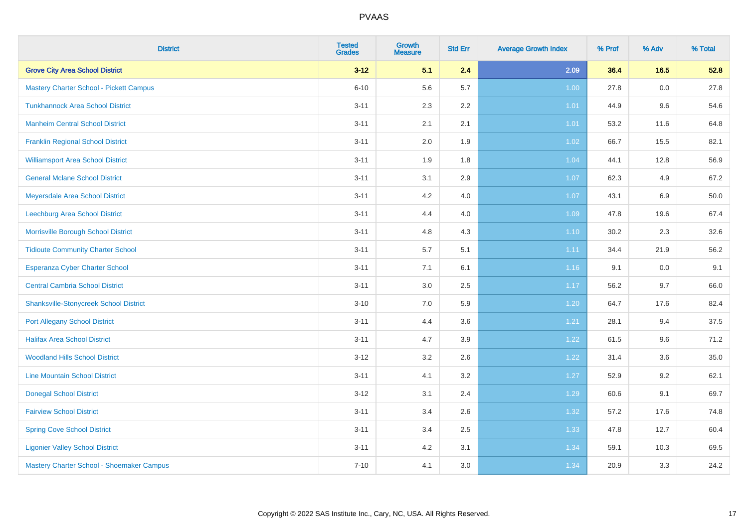| <b>District</b>                               | <b>Tested</b><br><b>Grades</b> | <b>Growth</b><br><b>Measure</b> | <b>Std Err</b> | <b>Average Growth Index</b> | % Prof | % Adv   | % Total |
|-----------------------------------------------|--------------------------------|---------------------------------|----------------|-----------------------------|--------|---------|---------|
| <b>Grove City Area School District</b>        | $3 - 12$                       | 5.1                             | 2.4            | 2.09                        | 36.4   | 16.5    | 52.8    |
| Mastery Charter School - Pickett Campus       | $6 - 10$                       | 5.6                             | 5.7            | 1.00                        | 27.8   | 0.0     | 27.8    |
| <b>Tunkhannock Area School District</b>       | $3 - 11$                       | 2.3                             | 2.2            | 1.01                        | 44.9   | 9.6     | 54.6    |
| <b>Manheim Central School District</b>        | $3 - 11$                       | 2.1                             | 2.1            | 1.01                        | 53.2   | 11.6    | 64.8    |
| <b>Franklin Regional School District</b>      | $3 - 11$                       | 2.0                             | 1.9            | $1.02$                      | 66.7   | 15.5    | 82.1    |
| <b>Williamsport Area School District</b>      | $3 - 11$                       | 1.9                             | 1.8            | 1.04                        | 44.1   | 12.8    | 56.9    |
| <b>General Mclane School District</b>         | $3 - 11$                       | 3.1                             | 2.9            | 1.07                        | 62.3   | 4.9     | 67.2    |
| Meyersdale Area School District               | $3 - 11$                       | 4.2                             | 4.0            | 1.07                        | 43.1   | 6.9     | 50.0    |
| Leechburg Area School District                | $3 - 11$                       | 4.4                             | 4.0            | 1.09                        | 47.8   | 19.6    | 67.4    |
| Morrisville Borough School District           | $3 - 11$                       | 4.8                             | 4.3            | $1.10$                      | 30.2   | 2.3     | 32.6    |
| <b>Tidioute Community Charter School</b>      | $3 - 11$                       | 5.7                             | 5.1            | 1.11                        | 34.4   | 21.9    | 56.2    |
| <b>Esperanza Cyber Charter School</b>         | $3 - 11$                       | 7.1                             | 6.1            | 1.16                        | 9.1    | $0.0\,$ | 9.1     |
| <b>Central Cambria School District</b>        | $3 - 11$                       | 3.0                             | 2.5            | 1.17                        | 56.2   | 9.7     | 66.0    |
| <b>Shanksville-Stonycreek School District</b> | $3 - 10$                       | 7.0                             | 5.9            | 1.20                        | 64.7   | 17.6    | 82.4    |
| <b>Port Allegany School District</b>          | $3 - 11$                       | 4.4                             | 3.6            | 1.21                        | 28.1   | 9.4     | 37.5    |
| <b>Halifax Area School District</b>           | $3 - 11$                       | 4.7                             | 3.9            | 1.22                        | 61.5   | 9.6     | 71.2    |
| <b>Woodland Hills School District</b>         | $3-12$                         | 3.2                             | 2.6            | 1.22                        | 31.4   | 3.6     | 35.0    |
| <b>Line Mountain School District</b>          | $3 - 11$                       | 4.1                             | 3.2            | 1.27                        | 52.9   | 9.2     | 62.1    |
| <b>Donegal School District</b>                | $3 - 12$                       | 3.1                             | 2.4            | 1.29                        | 60.6   | 9.1     | 69.7    |
| <b>Fairview School District</b>               | $3 - 11$                       | 3.4                             | 2.6            | 1.32                        | 57.2   | 17.6    | 74.8    |
| <b>Spring Cove School District</b>            | $3 - 11$                       | 3.4                             | 2.5            | 1.33                        | 47.8   | 12.7    | 60.4    |
| <b>Ligonier Valley School District</b>        | $3 - 11$                       | 4.2                             | 3.1            | 1.34                        | 59.1   | 10.3    | 69.5    |
| Mastery Charter School - Shoemaker Campus     | $7 - 10$                       | 4.1                             | 3.0            | 1.34                        | 20.9   | 3.3     | 24.2    |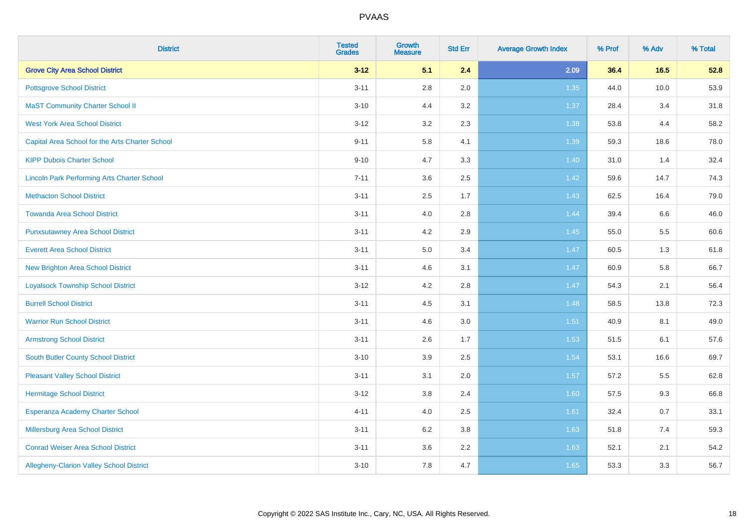| <b>District</b>                                    | <b>Tested</b><br><b>Grades</b> | <b>Growth</b><br><b>Measure</b> | <b>Std Err</b> | <b>Average Growth Index</b> | % Prof | % Adv | % Total |
|----------------------------------------------------|--------------------------------|---------------------------------|----------------|-----------------------------|--------|-------|---------|
| <b>Grove City Area School District</b>             | $3 - 12$                       | 5.1                             | 2.4            | 2.09                        | 36.4   | 16.5  | 52.8    |
| <b>Pottsgrove School District</b>                  | $3 - 11$                       | $2.8\,$                         | 2.0            | 1.35                        | 44.0   | 10.0  | 53.9    |
| <b>MaST Community Charter School II</b>            | $3 - 10$                       | 4.4                             | 3.2            | 1.37                        | 28.4   | 3.4   | 31.8    |
| <b>West York Area School District</b>              | $3 - 12$                       | 3.2                             | 2.3            | 1.38                        | 53.8   | 4.4   | 58.2    |
| Capital Area School for the Arts Charter School    | $9 - 11$                       | 5.8                             | 4.1            | 1.39                        | 59.3   | 18.6  | 78.0    |
| <b>KIPP Dubois Charter School</b>                  | $9 - 10$                       | 4.7                             | 3.3            | 1.40                        | 31.0   | 1.4   | 32.4    |
| <b>Lincoln Park Performing Arts Charter School</b> | $7 - 11$                       | 3.6                             | 2.5            | 1.42                        | 59.6   | 14.7  | 74.3    |
| <b>Methacton School District</b>                   | $3 - 11$                       | 2.5                             | 1.7            | 1.43                        | 62.5   | 16.4  | 79.0    |
| <b>Towanda Area School District</b>                | $3 - 11$                       | 4.0                             | 2.8            | 1.44                        | 39.4   | 6.6   | 46.0    |
| <b>Punxsutawney Area School District</b>           | $3 - 11$                       | 4.2                             | 2.9            | $1.45$                      | 55.0   | 5.5   | 60.6    |
| <b>Everett Area School District</b>                | $3 - 11$                       | 5.0                             | 3.4            | 1.47                        | 60.5   | 1.3   | 61.8    |
| <b>New Brighton Area School District</b>           | $3 - 11$                       | 4.6                             | 3.1            | $1.47$                      | 60.9   | 5.8   | 66.7    |
| <b>Loyalsock Township School District</b>          | $3 - 12$                       | 4.2                             | 2.8            | 1.47                        | 54.3   | 2.1   | 56.4    |
| <b>Burrell School District</b>                     | $3 - 11$                       | 4.5                             | 3.1            | 1.48                        | 58.5   | 13.8  | 72.3    |
| <b>Warrior Run School District</b>                 | $3 - 11$                       | 4.6                             | 3.0            | 1.51                        | 40.9   | 8.1   | 49.0    |
| <b>Armstrong School District</b>                   | $3 - 11$                       | 2.6                             | 1.7            | 1.53                        | 51.5   | 6.1   | 57.6    |
| <b>South Butler County School District</b>         | $3 - 10$                       | 3.9                             | 2.5            | 1.54                        | 53.1   | 16.6  | 69.7    |
| <b>Pleasant Valley School District</b>             | $3 - 11$                       | 3.1                             | 2.0            | 1.57                        | 57.2   | 5.5   | 62.8    |
| <b>Hermitage School District</b>                   | $3 - 12$                       | $3.8\,$                         | 2.4            | 1.60                        | 57.5   | 9.3   | 66.8    |
| Esperanza Academy Charter School                   | $4 - 11$                       | 4.0                             | 2.5            | 1.61                        | 32.4   | 0.7   | 33.1    |
| Millersburg Area School District                   | $3 - 11$                       | 6.2                             | 3.8            | 1.63                        | 51.8   | 7.4   | 59.3    |
| <b>Conrad Weiser Area School District</b>          | $3 - 11$                       | 3.6                             | 2.2            | 1.63                        | 52.1   | 2.1   | 54.2    |
| Allegheny-Clarion Valley School District           | $3 - 10$                       | 7.8                             | 4.7            | 1.65                        | 53.3   | 3.3   | 56.7    |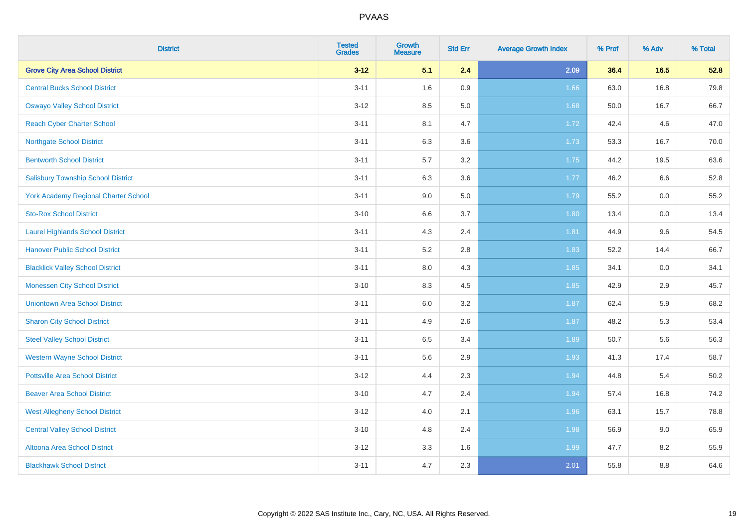| <b>District</b>                             | <b>Tested</b><br><b>Grades</b> | <b>Growth</b><br><b>Measure</b> | <b>Std Err</b> | <b>Average Growth Index</b> | % Prof | % Adv   | % Total |
|---------------------------------------------|--------------------------------|---------------------------------|----------------|-----------------------------|--------|---------|---------|
| <b>Grove City Area School District</b>      | $3 - 12$                       | 5.1                             | 2.4            | 2.09                        | 36.4   | 16.5    | 52.8    |
| <b>Central Bucks School District</b>        | $3 - 11$                       | 1.6                             | 0.9            | 1.66                        | 63.0   | 16.8    | 79.8    |
| <b>Oswayo Valley School District</b>        | $3-12$                         | 8.5                             | 5.0            | 1.68                        | 50.0   | 16.7    | 66.7    |
| <b>Reach Cyber Charter School</b>           | $3 - 11$                       | 8.1                             | 4.7            | 1.72                        | 42.4   | 4.6     | 47.0    |
| <b>Northgate School District</b>            | $3 - 11$                       | 6.3                             | 3.6            | 1.73                        | 53.3   | 16.7    | 70.0    |
| <b>Bentworth School District</b>            | $3 - 11$                       | 5.7                             | 3.2            | 1.75                        | 44.2   | 19.5    | 63.6    |
| <b>Salisbury Township School District</b>   | $3 - 11$                       | 6.3                             | 3.6            | 1.77                        | 46.2   | 6.6     | 52.8    |
| <b>York Academy Regional Charter School</b> | $3 - 11$                       | 9.0                             | 5.0            | 1.79                        | 55.2   | 0.0     | 55.2    |
| <b>Sto-Rox School District</b>              | $3 - 10$                       | 6.6                             | 3.7            | 1.80                        | 13.4   | $0.0\,$ | 13.4    |
| <b>Laurel Highlands School District</b>     | $3 - 11$                       | 4.3                             | 2.4            | 1.81                        | 44.9   | 9.6     | 54.5    |
| <b>Hanover Public School District</b>       | $3 - 11$                       | 5.2                             | 2.8            | 1.83                        | 52.2   | 14.4    | 66.7    |
| <b>Blacklick Valley School District</b>     | $3 - 11$                       | 8.0                             | 4.3            | 1.85                        | 34.1   | 0.0     | 34.1    |
| <b>Monessen City School District</b>        | $3 - 10$                       | 8.3                             | 4.5            | 1.85                        | 42.9   | 2.9     | 45.7    |
| <b>Uniontown Area School District</b>       | $3 - 11$                       | 6.0                             | 3.2            | 1.87                        | 62.4   | 5.9     | 68.2    |
| <b>Sharon City School District</b>          | $3 - 11$                       | 4.9                             | 2.6            | 1.87                        | 48.2   | 5.3     | 53.4    |
| <b>Steel Valley School District</b>         | $3 - 11$                       | 6.5                             | 3.4            | 1.89                        | 50.7   | 5.6     | 56.3    |
| <b>Western Wayne School District</b>        | $3 - 11$                       | 5.6                             | 2.9            | 1.93                        | 41.3   | 17.4    | 58.7    |
| <b>Pottsville Area School District</b>      | $3 - 12$                       | 4.4                             | 2.3            | 1.94                        | 44.8   | 5.4     | 50.2    |
| <b>Beaver Area School District</b>          | $3 - 10$                       | 4.7                             | 2.4            | 1.94                        | 57.4   | 16.8    | 74.2    |
| <b>West Allegheny School District</b>       | $3 - 12$                       | 4.0                             | 2.1            | 1.96                        | 63.1   | 15.7    | 78.8    |
| <b>Central Valley School District</b>       | $3 - 10$                       | 4.8                             | 2.4            | 1.98                        | 56.9   | 9.0     | 65.9    |
| Altoona Area School District                | $3 - 12$                       | 3.3                             | 1.6            | 1.99                        | 47.7   | 8.2     | 55.9    |
| <b>Blackhawk School District</b>            | $3 - 11$                       | 4.7                             | 2.3            | 2.01                        | 55.8   | 8.8     | 64.6    |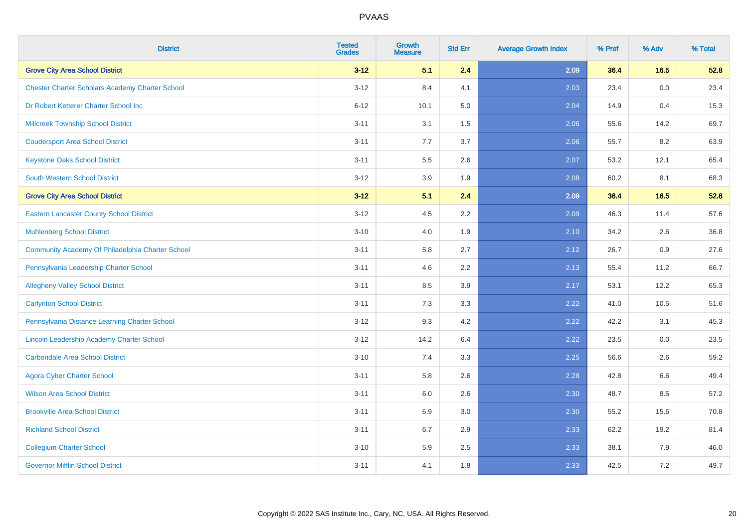| <b>District</b>                                        | <b>Tested</b><br><b>Grades</b> | <b>Growth</b><br><b>Measure</b> | <b>Std Err</b> | <b>Average Growth Index</b> | % Prof | % Adv | % Total |
|--------------------------------------------------------|--------------------------------|---------------------------------|----------------|-----------------------------|--------|-------|---------|
| <b>Grove City Area School District</b>                 | $3 - 12$                       | 5.1                             | 2.4            | 2.09                        | 36.4   | 16.5  | 52.8    |
| <b>Chester Charter Scholars Academy Charter School</b> | $3 - 12$                       | 8.4                             | 4.1            | 2.03                        | 23.4   | 0.0   | 23.4    |
| Dr Robert Ketterer Charter School Inc                  | $6 - 12$                       | 10.1                            | 5.0            | 2.04                        | 14.9   | 0.4   | 15.3    |
| <b>Millcreek Township School District</b>              | $3 - 11$                       | 3.1                             | 1.5            | 2.06                        | 55.6   | 14.2  | 69.7    |
| <b>Coudersport Area School District</b>                | $3 - 11$                       | 7.7                             | 3.7            | 2.06                        | 55.7   | 8.2   | 63.9    |
| <b>Keystone Oaks School District</b>                   | $3 - 11$                       | 5.5                             | 2.6            | 2.07                        | 53.2   | 12.1  | 65.4    |
| South Western School District                          | $3 - 12$                       | 3.9                             | 1.9            | 2.08                        | 60.2   | 8.1   | 68.3    |
| <b>Grove City Area School District</b>                 | $3 - 12$                       | 5.1                             | 2.4            | 2.09                        | 36.4   | 16.5  | 52.8    |
| <b>Eastern Lancaster County School District</b>        | $3 - 12$                       | 4.5                             | 2.2            | 2.09                        | 46.3   | 11.4  | 57.6    |
| <b>Muhlenberg School District</b>                      | $3 - 10$                       | 4.0                             | 1.9            | 2.10                        | 34.2   | 2.6   | 36.8    |
| Community Academy Of Philadelphia Charter School       | $3 - 11$                       | 5.8                             | 2.7            | 2.12                        | 26.7   | 0.9   | 27.6    |
| Pennsylvania Leadership Charter School                 | $3 - 11$                       | 4.6                             | 2.2            | 2.13                        | 55.4   | 11.2  | 66.7    |
| <b>Allegheny Valley School District</b>                | $3 - 11$                       | 8.5                             | 3.9            | 2.17                        | 53.1   | 12.2  | 65.3    |
| <b>Carlynton School District</b>                       | $3 - 11$                       | 7.3                             | 3.3            | 2.22                        | 41.0   | 10.5  | 51.6    |
| Pennsylvania Distance Learning Charter School          | $3 - 12$                       | 9.3                             | 4.2            | 2.22                        | 42.2   | 3.1   | 45.3    |
| Lincoln Leadership Academy Charter School              | $3 - 12$                       | 14.2                            | 6.4            | 2.22                        | 23.5   | 0.0   | 23.5    |
| <b>Carbondale Area School District</b>                 | $3 - 10$                       | 7.4                             | 3.3            | 2.25                        | 56.6   | 2.6   | 59.2    |
| <b>Agora Cyber Charter School</b>                      | $3 - 11$                       | 5.8                             | 2.6            | 2.28                        | 42.8   | 6.6   | 49.4    |
| <b>Wilson Area School District</b>                     | $3 - 11$                       | 6.0                             | 2.6            | 2.30                        | 48.7   | 8.5   | 57.2    |
| <b>Brookville Area School District</b>                 | $3 - 11$                       | 6.9                             | 3.0            | 2.30                        | 55.2   | 15.6  | 70.8    |
| <b>Richland School District</b>                        | $3 - 11$                       | 6.7                             | 2.9            | 2.33                        | 62.2   | 19.2  | 81.4    |
| <b>Collegium Charter School</b>                        | $3 - 10$                       | 5.9                             | 2.5            | 2.33                        | 38.1   | 7.9   | 46.0    |
| <b>Governor Mifflin School District</b>                | $3 - 11$                       | 4.1                             | 1.8            | 2.33                        | 42.5   | 7.2   | 49.7    |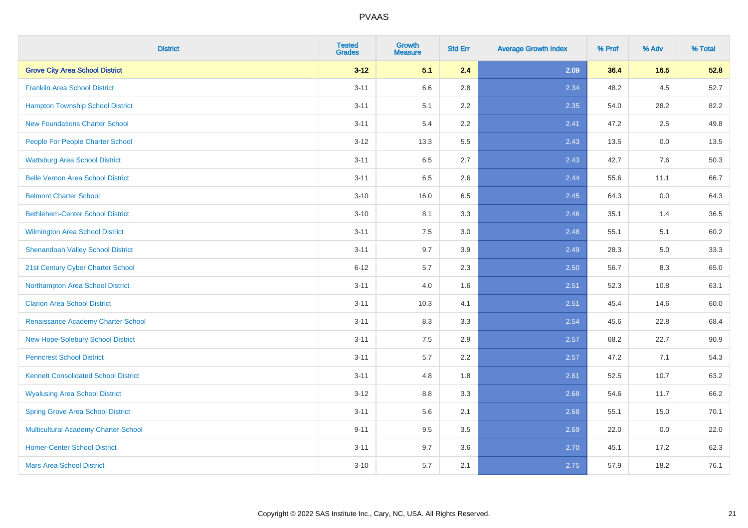| <b>District</b>                             | <b>Tested</b><br><b>Grades</b> | <b>Growth</b><br><b>Measure</b> | <b>Std Err</b> | <b>Average Growth Index</b> | % Prof | % Adv | % Total |
|---------------------------------------------|--------------------------------|---------------------------------|----------------|-----------------------------|--------|-------|---------|
| <b>Grove City Area School District</b>      | $3 - 12$                       | 5.1                             | 2.4            | 2.09                        | 36.4   | 16.5  | 52.8    |
| <b>Franklin Area School District</b>        | $3 - 11$                       | 6.6                             | 2.8            | 2.34                        | 48.2   | 4.5   | 52.7    |
| <b>Hampton Township School District</b>     | $3 - 11$                       | 5.1                             | 2.2            | 2.35                        | 54.0   | 28.2  | 82.2    |
| <b>New Foundations Charter School</b>       | $3 - 11$                       | 5.4                             | 2.2            | 2.41                        | 47.2   | 2.5   | 49.8    |
| People For People Charter School            | $3 - 12$                       | 13.3                            | 5.5            | 2.43                        | 13.5   | 0.0   | 13.5    |
| <b>Wattsburg Area School District</b>       | $3 - 11$                       | 6.5                             | 2.7            | 2.43                        | 42.7   | 7.6   | 50.3    |
| <b>Belle Vernon Area School District</b>    | $3 - 11$                       | 6.5                             | 2.6            | 2.44                        | 55.6   | 11.1  | 66.7    |
| <b>Belmont Charter School</b>               | $3 - 10$                       | 16.0                            | 6.5            | 2.45                        | 64.3   | 0.0   | 64.3    |
| <b>Bethlehem-Center School District</b>     | $3 - 10$                       | 8.1                             | 3.3            | 2.46                        | 35.1   | 1.4   | 36.5    |
| Wilmington Area School District             | $3 - 11$                       | $7.5\,$                         | 3.0            | 2.48                        | 55.1   | 5.1   | 60.2    |
| <b>Shenandoah Valley School District</b>    | $3 - 11$                       | 9.7                             | 3.9            | 2.49                        | 28.3   | 5.0   | 33.3    |
| 21st Century Cyber Charter School           | $6 - 12$                       | 5.7                             | 2.3            | 2.50                        | 56.7   | 8.3   | 65.0    |
| Northampton Area School District            | $3 - 11$                       | 4.0                             | 1.6            | 2.51                        | 52.3   | 10.8  | 63.1    |
| <b>Clarion Area School District</b>         | $3 - 11$                       | 10.3                            | 4.1            | 2.51                        | 45.4   | 14.6  | 60.0    |
| Renaissance Academy Charter School          | $3 - 11$                       | 8.3                             | 3.3            | 2.54                        | 45.6   | 22.8  | 68.4    |
| New Hope-Solebury School District           | $3 - 11$                       | 7.5                             | 2.9            | 2.57                        | 68.2   | 22.7  | 90.9    |
| <b>Penncrest School District</b>            | $3 - 11$                       | 5.7                             | 2.2            | 2.57                        | 47.2   | 7.1   | 54.3    |
| <b>Kennett Consolidated School District</b> | $3 - 11$                       | 4.8                             | 1.8            | 2.61                        | 52.5   | 10.7  | 63.2    |
| <b>Wyalusing Area School District</b>       | $3 - 12$                       | 8.8                             | 3.3            | 2.68                        | 54.6   | 11.7  | 66.2    |
| <b>Spring Grove Area School District</b>    | $3 - 11$                       | 5.6                             | 2.1            | 2.68                        | 55.1   | 15.0  | 70.1    |
| <b>Multicultural Academy Charter School</b> | $9 - 11$                       | 9.5                             | 3.5            | 2.69                        | 22.0   | 0.0   | 22.0    |
| <b>Homer-Center School District</b>         | $3 - 11$                       | 9.7                             | 3.6            | 2.70                        | 45.1   | 17.2  | 62.3    |
| <b>Mars Area School District</b>            | $3 - 10$                       | 5.7                             | 2.1            | 2.75                        | 57.9   | 18.2  | 76.1    |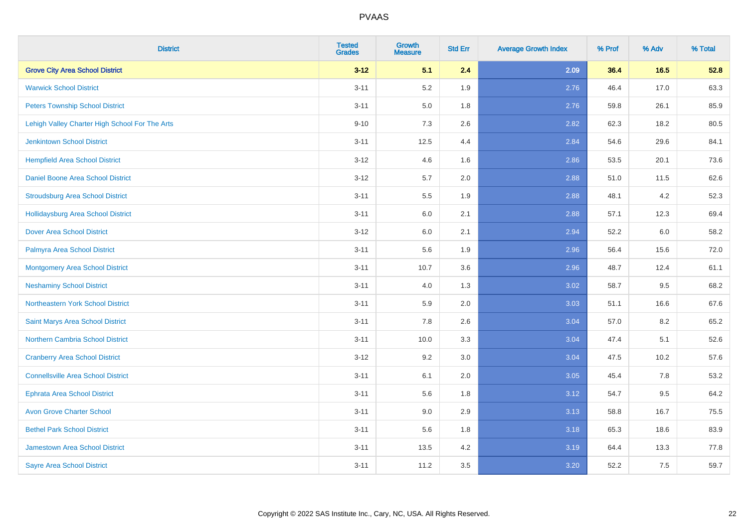| <b>District</b>                                | <b>Tested</b><br><b>Grades</b> | Growth<br><b>Measure</b> | <b>Std Err</b> | <b>Average Growth Index</b> | % Prof | % Adv | % Total |
|------------------------------------------------|--------------------------------|--------------------------|----------------|-----------------------------|--------|-------|---------|
| <b>Grove City Area School District</b>         | $3 - 12$                       | 5.1                      | 2.4            | 2.09                        | 36.4   | 16.5  | 52.8    |
| <b>Warwick School District</b>                 | $3 - 11$                       | 5.2                      | 1.9            | 2.76                        | 46.4   | 17.0  | 63.3    |
| <b>Peters Township School District</b>         | $3 - 11$                       | 5.0                      | 1.8            | 2.76                        | 59.8   | 26.1  | 85.9    |
| Lehigh Valley Charter High School For The Arts | $9 - 10$                       | 7.3                      | 2.6            | 2.82                        | 62.3   | 18.2  | 80.5    |
| <b>Jenkintown School District</b>              | $3 - 11$                       | 12.5                     | 4.4            | 2.84                        | 54.6   | 29.6  | 84.1    |
| <b>Hempfield Area School District</b>          | $3 - 12$                       | 4.6                      | 1.6            | 2.86                        | 53.5   | 20.1  | 73.6    |
| Daniel Boone Area School District              | $3 - 12$                       | 5.7                      | 2.0            | 2.88                        | 51.0   | 11.5  | 62.6    |
| <b>Stroudsburg Area School District</b>        | $3 - 11$                       | 5.5                      | 1.9            | 2.88                        | 48.1   | 4.2   | 52.3    |
| <b>Hollidaysburg Area School District</b>      | $3 - 11$                       | 6.0                      | 2.1            | 2.88                        | 57.1   | 12.3  | 69.4    |
| <b>Dover Area School District</b>              | $3 - 12$                       | 6.0                      | 2.1            | 2.94                        | 52.2   | 6.0   | 58.2    |
| Palmyra Area School District                   | $3 - 11$                       | 5.6                      | 1.9            | 2.96                        | 56.4   | 15.6  | 72.0    |
| <b>Montgomery Area School District</b>         | $3 - 11$                       | 10.7                     | 3.6            | 2.96                        | 48.7   | 12.4  | 61.1    |
| <b>Neshaminy School District</b>               | $3 - 11$                       | 4.0                      | 1.3            | 3.02                        | 58.7   | 9.5   | 68.2    |
| Northeastern York School District              | $3 - 11$                       | 5.9                      | 2.0            | 3.03                        | 51.1   | 16.6  | 67.6    |
| Saint Marys Area School District               | $3 - 11$                       | 7.8                      | 2.6            | 3.04                        | 57.0   | 8.2   | 65.2    |
| Northern Cambria School District               | $3 - 11$                       | 10.0                     | 3.3            | 3.04                        | 47.4   | 5.1   | 52.6    |
| <b>Cranberry Area School District</b>          | $3 - 12$                       | 9.2                      | 3.0            | 3.04                        | 47.5   | 10.2  | 57.6    |
| <b>Connellsville Area School District</b>      | $3 - 11$                       | 6.1                      | 2.0            | 3.05                        | 45.4   | 7.8   | 53.2    |
| <b>Ephrata Area School District</b>            | $3 - 11$                       | 5.6                      | 1.8            | 3.12                        | 54.7   | 9.5   | 64.2    |
| <b>Avon Grove Charter School</b>               | $3 - 11$                       | 9.0                      | 2.9            | 3.13                        | 58.8   | 16.7  | 75.5    |
| <b>Bethel Park School District</b>             | $3 - 11$                       | 5.6                      | 1.8            | 3.18                        | 65.3   | 18.6  | 83.9    |
| <b>Jamestown Area School District</b>          | $3 - 11$                       | 13.5                     | 4.2            | 3.19                        | 64.4   | 13.3  | 77.8    |
| <b>Sayre Area School District</b>              | $3 - 11$                       | 11.2                     | 3.5            | 3.20                        | 52.2   | 7.5   | 59.7    |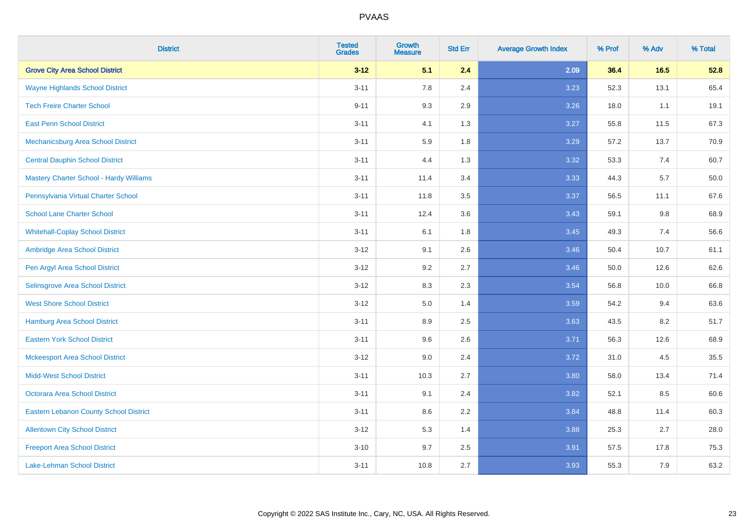| <b>District</b>                               | <b>Tested</b><br><b>Grades</b> | <b>Growth</b><br><b>Measure</b> | <b>Std Err</b> | <b>Average Growth Index</b> | % Prof | % Adv   | % Total |
|-----------------------------------------------|--------------------------------|---------------------------------|----------------|-----------------------------|--------|---------|---------|
| <b>Grove City Area School District</b>        | $3 - 12$                       | 5.1                             | 2.4            | 2.09                        | 36.4   | 16.5    | 52.8    |
| <b>Wayne Highlands School District</b>        | $3 - 11$                       | 7.8                             | 2.4            | 3.23                        | 52.3   | 13.1    | 65.4    |
| <b>Tech Freire Charter School</b>             | $9 - 11$                       | 9.3                             | 2.9            | 3.26                        | 18.0   | 1.1     | 19.1    |
| <b>East Penn School District</b>              | $3 - 11$                       | 4.1                             | 1.3            | 3.27                        | 55.8   | 11.5    | 67.3    |
| Mechanicsburg Area School District            | $3 - 11$                       | 5.9                             | 1.8            | 3.29                        | 57.2   | 13.7    | 70.9    |
| <b>Central Dauphin School District</b>        | $3 - 11$                       | 4.4                             | 1.3            | 3.32                        | 53.3   | 7.4     | 60.7    |
| Mastery Charter School - Hardy Williams       | $3 - 11$                       | 11.4                            | 3.4            | 3.33                        | 44.3   | 5.7     | 50.0    |
| Pennsylvania Virtual Charter School           | $3 - 11$                       | 11.8                            | 3.5            | 3.37                        | 56.5   | 11.1    | 67.6    |
| <b>School Lane Charter School</b>             | $3 - 11$                       | 12.4                            | 3.6            | 3.43                        | 59.1   | $9.8\,$ | 68.9    |
| <b>Whitehall-Coplay School District</b>       | $3 - 11$                       | 6.1                             | 1.8            | 3.45                        | 49.3   | 7.4     | 56.6    |
| Ambridge Area School District                 | $3 - 12$                       | 9.1                             | 2.6            | 3.46                        | 50.4   | 10.7    | 61.1    |
| Pen Argyl Area School District                | $3 - 12$                       | 9.2                             | 2.7            | 3.46                        | 50.0   | 12.6    | 62.6    |
| Selinsgrove Area School District              | $3 - 12$                       | 8.3                             | 2.3            | 3.54                        | 56.8   | 10.0    | 66.8    |
| <b>West Shore School District</b>             | $3-12$                         | 5.0                             | 1.4            | 3.59                        | 54.2   | 9.4     | 63.6    |
| <b>Hamburg Area School District</b>           | $3 - 11$                       | 8.9                             | 2.5            | 3.63                        | 43.5   | 8.2     | 51.7    |
| <b>Eastern York School District</b>           | $3 - 11$                       | 9.6                             | 2.6            | 3.71                        | 56.3   | 12.6    | 68.9    |
| <b>Mckeesport Area School District</b>        | $3-12$                         | 9.0                             | 2.4            | 3.72                        | 31.0   | 4.5     | 35.5    |
| <b>Midd-West School District</b>              | $3 - 11$                       | 10.3                            | 2.7            | 3.80                        | 58.0   | 13.4    | 71.4    |
| <b>Octorara Area School District</b>          | $3 - 11$                       | 9.1                             | 2.4            | 3.82                        | 52.1   | 8.5     | 60.6    |
| <b>Eastern Lebanon County School District</b> | $3 - 11$                       | 8.6                             | 2.2            | 3.84                        | 48.8   | 11.4    | 60.3    |
| <b>Allentown City School District</b>         | $3 - 12$                       | 5.3                             | 1.4            | 3.88                        | 25.3   | 2.7     | 28.0    |
| <b>Freeport Area School District</b>          | $3 - 10$                       | 9.7                             | 2.5            | 3.91                        | 57.5   | 17.8    | 75.3    |
| Lake-Lehman School District                   | $3 - 11$                       | 10.8                            | 2.7            | 3.93                        | 55.3   | 7.9     | 63.2    |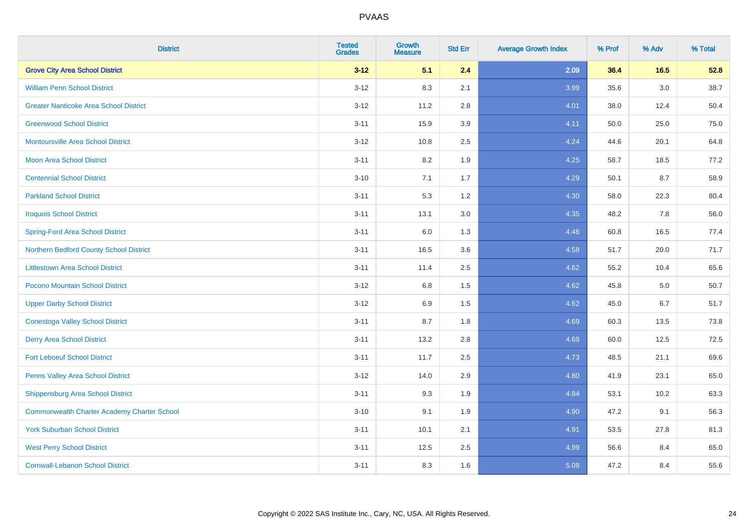| <b>District</b>                                    | <b>Tested</b><br><b>Grades</b> | <b>Growth</b><br><b>Measure</b> | <b>Std Err</b> | <b>Average Growth Index</b> | % Prof | % Adv   | % Total |
|----------------------------------------------------|--------------------------------|---------------------------------|----------------|-----------------------------|--------|---------|---------|
| <b>Grove City Area School District</b>             | $3 - 12$                       | 5.1                             | 2.4            | 2.09                        | 36.4   | 16.5    | 52.8    |
| <b>William Penn School District</b>                | $3 - 12$                       | 8.3                             | 2.1            | 3.99                        | 35.6   | $3.0\,$ | 38.7    |
| <b>Greater Nanticoke Area School District</b>      | $3 - 12$                       | 11.2                            | 2.8            | 4.01                        | 38.0   | 12.4    | 50.4    |
| <b>Greenwood School District</b>                   | $3 - 11$                       | 15.9                            | 3.9            | 4.11                        | 50.0   | 25.0    | 75.0    |
| <b>Montoursville Area School District</b>          | $3 - 12$                       | 10.8                            | 2.5            | 4.24                        | 44.6   | 20.1    | 64.8    |
| <b>Moon Area School District</b>                   | $3 - 11$                       | 8.2                             | 1.9            | 4.25                        | 58.7   | 18.5    | 77.2    |
| <b>Centennial School District</b>                  | $3 - 10$                       | 7.1                             | 1.7            | 4.29                        | 50.1   | 8.7     | 58.9    |
| <b>Parkland School District</b>                    | $3 - 11$                       | 5.3                             | 1.2            | 4.30                        | 58.0   | 22.3    | 80.4    |
| <b>Iroquois School District</b>                    | $3 - 11$                       | 13.1                            | 3.0            | 4.35                        | 48.2   | 7.8     | 56.0    |
| <b>Spring-Ford Area School District</b>            | $3 - 11$                       | 6.0                             | 1.3            | 4.46                        | 60.8   | 16.5    | 77.4    |
| Northern Bedford County School District            | $3 - 11$                       | 16.5                            | 3.6            | 4.58                        | 51.7   | 20.0    | 71.7    |
| <b>Littlestown Area School District</b>            | $3 - 11$                       | 11.4                            | 2.5            | 4.62                        | 55.2   | 10.4    | 65.6    |
| Pocono Mountain School District                    | $3 - 12$                       | $6.8\,$                         | 1.5            | 4.62                        | 45.8   | $5.0\,$ | 50.7    |
| <b>Upper Darby School District</b>                 | $3 - 12$                       | 6.9                             | 1.5            | 4.62                        | 45.0   | 6.7     | 51.7    |
| <b>Conestoga Valley School District</b>            | $3 - 11$                       | 8.7                             | 1.8            | 4.69                        | 60.3   | 13.5    | 73.8    |
| <b>Derry Area School District</b>                  | $3 - 11$                       | 13.2                            | 2.8            | 4.69                        | 60.0   | 12.5    | 72.5    |
| <b>Fort Leboeuf School District</b>                | $3 - 11$                       | 11.7                            | 2.5            | 4.73                        | 48.5   | 21.1    | 69.6    |
| Penns Valley Area School District                  | $3 - 12$                       | 14.0                            | 2.9            | 4.80                        | 41.9   | 23.1    | 65.0    |
| Shippensburg Area School District                  | $3 - 11$                       | 9.3                             | 1.9            | 4.84                        | 53.1   | 10.2    | 63.3    |
| <b>Commonwealth Charter Academy Charter School</b> | $3 - 10$                       | 9.1                             | 1.9            | 4.90                        | 47.2   | 9.1     | 56.3    |
| <b>York Suburban School District</b>               | $3 - 11$                       | 10.1                            | 2.1            | 4.91                        | 53.5   | 27.8    | 81.3    |
| <b>West Perry School District</b>                  | $3 - 11$                       | 12.5                            | 2.5            | 4.99                        | 56.6   | 8.4     | 65.0    |
| <b>Cornwall-Lebanon School District</b>            | $3 - 11$                       | 8.3                             | 1.6            | 5.08                        | 47.2   | 8.4     | 55.6    |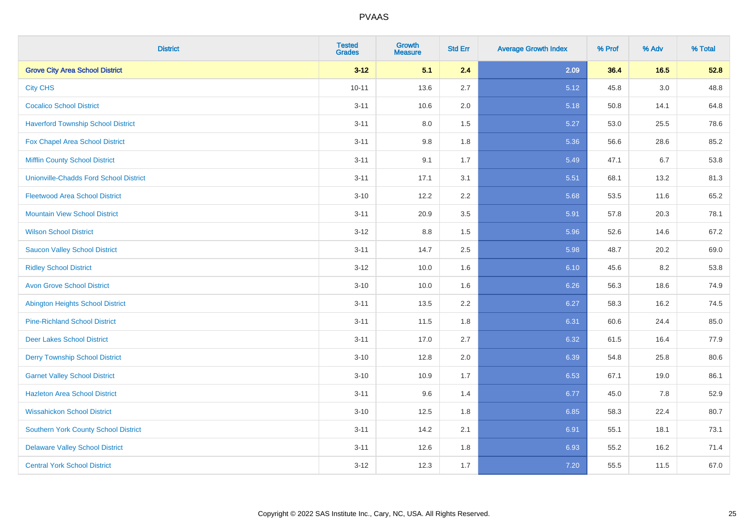| <b>District</b>                               | <b>Tested</b><br><b>Grades</b> | Growth<br><b>Measure</b> | <b>Std Err</b> | <b>Average Growth Index</b> | % Prof | % Adv  | % Total |
|-----------------------------------------------|--------------------------------|--------------------------|----------------|-----------------------------|--------|--------|---------|
| <b>Grove City Area School District</b>        | $3 - 12$                       | 5.1                      | 2.4            | 2.09                        | 36.4   | $16.5$ | 52.8    |
| <b>City CHS</b>                               | $10 - 11$                      | 13.6                     | 2.7            | 5.12                        | 45.8   | 3.0    | 48.8    |
| <b>Cocalico School District</b>               | $3 - 11$                       | 10.6                     | 2.0            | 5.18                        | 50.8   | 14.1   | 64.8    |
| <b>Haverford Township School District</b>     | $3 - 11$                       | $8.0\,$                  | 1.5            | 5.27                        | 53.0   | 25.5   | 78.6    |
| Fox Chapel Area School District               | $3 - 11$                       | 9.8                      | 1.8            | 5.36                        | 56.6   | 28.6   | 85.2    |
| <b>Mifflin County School District</b>         | $3 - 11$                       | 9.1                      | 1.7            | 5.49                        | 47.1   | 6.7    | 53.8    |
| <b>Unionville-Chadds Ford School District</b> | $3 - 11$                       | 17.1                     | 3.1            | 5.51                        | 68.1   | 13.2   | 81.3    |
| <b>Fleetwood Area School District</b>         | $3 - 10$                       | 12.2                     | 2.2            | 5.68                        | 53.5   | 11.6   | 65.2    |
| <b>Mountain View School District</b>          | $3 - 11$                       | 20.9                     | 3.5            | 5.91                        | 57.8   | 20.3   | 78.1    |
| <b>Wilson School District</b>                 | $3 - 12$                       | $8.8\,$                  | 1.5            | 5.96                        | 52.6   | 14.6   | 67.2    |
| <b>Saucon Valley School District</b>          | $3 - 11$                       | 14.7                     | 2.5            | 5.98                        | 48.7   | 20.2   | 69.0    |
| <b>Ridley School District</b>                 | $3 - 12$                       | 10.0                     | 1.6            | 6.10                        | 45.6   | 8.2    | 53.8    |
| <b>Avon Grove School District</b>             | $3 - 10$                       | 10.0                     | 1.6            | 6.26                        | 56.3   | 18.6   | 74.9    |
| <b>Abington Heights School District</b>       | $3 - 11$                       | 13.5                     | 2.2            | 6.27                        | 58.3   | 16.2   | 74.5    |
| <b>Pine-Richland School District</b>          | $3 - 11$                       | 11.5                     | 1.8            | 6.31                        | 60.6   | 24.4   | 85.0    |
| <b>Deer Lakes School District</b>             | $3 - 11$                       | 17.0                     | 2.7            | 6.32                        | 61.5   | 16.4   | 77.9    |
| <b>Derry Township School District</b>         | $3 - 10$                       | 12.8                     | 2.0            | 6.39                        | 54.8   | 25.8   | 80.6    |
| <b>Garnet Valley School District</b>          | $3 - 10$                       | 10.9                     | 1.7            | 6.53                        | 67.1   | 19.0   | 86.1    |
| <b>Hazleton Area School District</b>          | $3 - 11$                       | 9.6                      | 1.4            | 6.77                        | 45.0   | 7.8    | 52.9    |
| <b>Wissahickon School District</b>            | $3 - 10$                       | 12.5                     | 1.8            | 6.85                        | 58.3   | 22.4   | 80.7    |
| <b>Southern York County School District</b>   | $3 - 11$                       | 14.2                     | 2.1            | 6.91                        | 55.1   | 18.1   | 73.1    |
| <b>Delaware Valley School District</b>        | $3 - 11$                       | 12.6                     | 1.8            | 6.93                        | 55.2   | 16.2   | 71.4    |
| <b>Central York School District</b>           | $3 - 12$                       | 12.3                     | 1.7            | 7.20                        | 55.5   | 11.5   | 67.0    |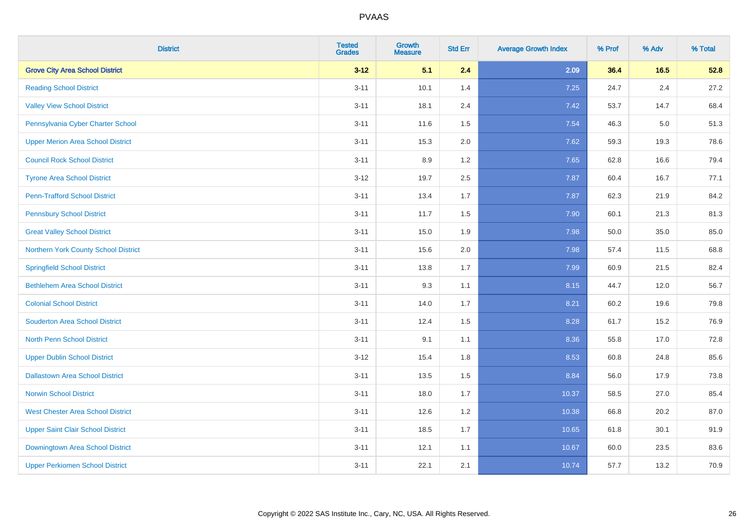| <b>District</b>                          | <b>Tested</b><br><b>Grades</b> | <b>Growth</b><br><b>Measure</b> | <b>Std Err</b> | <b>Average Growth Index</b> | % Prof | % Adv   | % Total |
|------------------------------------------|--------------------------------|---------------------------------|----------------|-----------------------------|--------|---------|---------|
| <b>Grove City Area School District</b>   | $3 - 12$                       | 5.1                             | 2.4            | 2.09                        | 36.4   | 16.5    | 52.8    |
| <b>Reading School District</b>           | $3 - 11$                       | 10.1                            | 1.4            | 7.25                        | 24.7   | $2.4\,$ | 27.2    |
| <b>Valley View School District</b>       | $3 - 11$                       | 18.1                            | 2.4            | 7.42                        | 53.7   | 14.7    | 68.4    |
| Pennsylvania Cyber Charter School        | $3 - 11$                       | 11.6                            | 1.5            | 7.54                        | 46.3   | 5.0     | 51.3    |
| <b>Upper Merion Area School District</b> | $3 - 11$                       | 15.3                            | 2.0            | 7.62                        | 59.3   | 19.3    | 78.6    |
| <b>Council Rock School District</b>      | $3 - 11$                       | 8.9                             | 1.2            | 7.65                        | 62.8   | 16.6    | 79.4    |
| <b>Tyrone Area School District</b>       | $3-12$                         | 19.7                            | 2.5            | 7.87                        | 60.4   | 16.7    | 77.1    |
| <b>Penn-Trafford School District</b>     | $3 - 11$                       | 13.4                            | 1.7            | 7.87                        | 62.3   | 21.9    | 84.2    |
| <b>Pennsbury School District</b>         | $3 - 11$                       | 11.7                            | 1.5            | 7.90                        | 60.1   | 21.3    | 81.3    |
| <b>Great Valley School District</b>      | $3 - 11$                       | 15.0                            | 1.9            | 7.98                        | 50.0   | 35.0    | 85.0    |
| Northern York County School District     | $3 - 11$                       | 15.6                            | 2.0            | 7.98                        | 57.4   | 11.5    | 68.8    |
| <b>Springfield School District</b>       | $3 - 11$                       | 13.8                            | 1.7            | 7.99                        | 60.9   | 21.5    | 82.4    |
| <b>Bethlehem Area School District</b>    | $3 - 11$                       | 9.3                             | 1.1            | 8.15                        | 44.7   | 12.0    | 56.7    |
| <b>Colonial School District</b>          | $3 - 11$                       | 14.0                            | 1.7            | 8.21                        | 60.2   | 19.6    | 79.8    |
| <b>Souderton Area School District</b>    | $3 - 11$                       | 12.4                            | 1.5            | 8.28                        | 61.7   | 15.2    | 76.9    |
| <b>North Penn School District</b>        | $3 - 11$                       | 9.1                             | 1.1            | 8.36                        | 55.8   | 17.0    | 72.8    |
| <b>Upper Dublin School District</b>      | $3-12$                         | 15.4                            | 1.8            | 8.53                        | 60.8   | 24.8    | 85.6    |
| <b>Dallastown Area School District</b>   | $3 - 11$                       | 13.5                            | 1.5            | 8.84                        | 56.0   | 17.9    | 73.8    |
| <b>Norwin School District</b>            | $3 - 11$                       | 18.0                            | 1.7            | 10.37                       | 58.5   | 27.0    | 85.4    |
| <b>West Chester Area School District</b> | $3 - 11$                       | 12.6                            | 1.2            | 10.38                       | 66.8   | 20.2    | 87.0    |
| <b>Upper Saint Clair School District</b> | $3 - 11$                       | 18.5                            | 1.7            | 10.65                       | 61.8   | 30.1    | 91.9    |
| Downingtown Area School District         | $3 - 11$                       | 12.1                            | 1.1            | 10.67                       | 60.0   | 23.5    | 83.6    |
| <b>Upper Perkiomen School District</b>   | $3 - 11$                       | 22.1                            | 2.1            | 10.74                       | 57.7   | 13.2    | 70.9    |